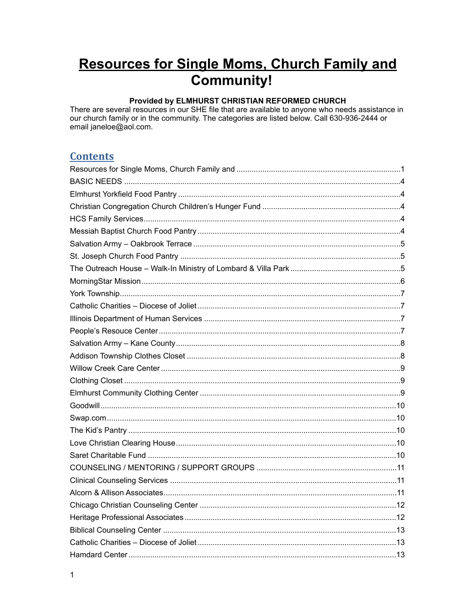# <span id="page-0-0"></span>**Resources for Single Moms, Church Family and** Community!

### Provided by ELMHURST CHRISTIAN REFORMED CHURCH

There are several resources in our SHE file that are available to anyone who needs assistance in our church family or in the community. The categories are listed below. Call 630-936-2444 or email janeloe@aol.com.

### **Contents**

| Hamdard Center | -13 |
|----------------|-----|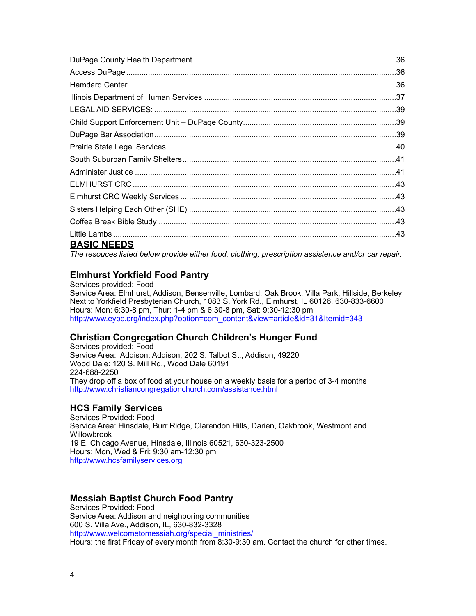| <b>BASIC NEEDS</b> |  |
|--------------------|--|

<span id="page-3-0"></span>*The resouces listed below provide either food, clothing, prescription assistence and/or car repair.*

### <span id="page-3-1"></span>**Elmhurst Yorkfield Food Pantry**

Services provided: Food Service Area: Elmhurst, Addison, Bensenville, Lombard, Oak Brook, Villa Park, Hillside, Berkeley Next to Yorkfield Presbyterian Church, 1083 S. York Rd., Elmhurst, IL 60126, 630-833-6600 Hours: Mon: 6:30-8 pm, Thur: 1-4 pm & 6:30-8 pm, Sat: 9:30-12:30 pm [http://www.eypc.org/index.php?option=com\\_content&view=article&id=31&Itemid=343](http://www.eypc.org/index.php?option=com_content&view=article&id=31&Itemid=343)

### <span id="page-3-2"></span>**Christian Congregation Church Children's Hunger Fund**

Services provided: Food Service Area: Addison: Addison, 202 S. Talbot St., Addison, 49220 Wood Dale: 120 S. Mill Rd., Wood Dale 60191 224-688-2250 They drop off a box of food at your house on a weekly basis for a period of 3-4 months <http://www.christiancongregationchurch.com/assistance.html>

### <span id="page-3-3"></span>**HCS Family Services**

Services Provided: Food Service Area: Hinsdale, Burr Ridge, Clarendon Hills, Darien, Oakbrook, Westmont and **Willowbrook** 19 E. Chicago Avenue, Hinsdale, Illinois 60521, 630-323-2500 Hours: Mon, Wed & Fri: 9:30 am-12:30 pm <http://www.hcsfamilyservices.org>

### <span id="page-3-4"></span>**Messiah Baptist Church Food Pantry**

Services Provided: Food Service Area: Addison and neighboring communities 600 S. Villa Ave., Addison, IL, 630-832-3328 [http://www.welcometomessiah.org/special\\_ministries/](http://www.welcometomessiah.org/special_ministries/) Hours: the first Friday of every month from 8:30-9:30 am. Contact the church for other times.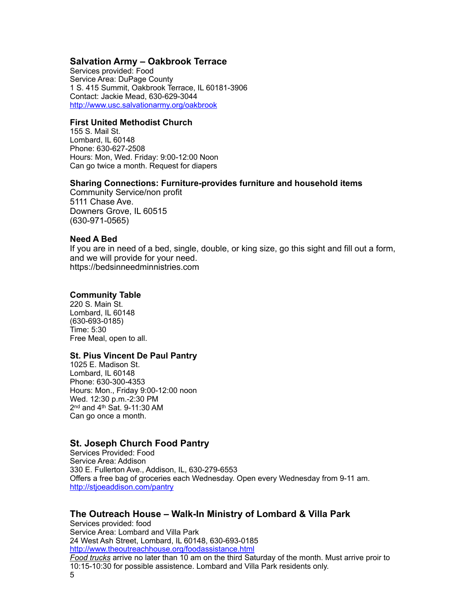### <span id="page-4-0"></span>**Salvation Army – Oakbrook Terrace**

Services provided: Food Service Area: DuPage County 1 S. 415 Summit, Oakbrook Terrace, IL 60181-3906 Contact: Jackie Mead, 630-629-3044 <http://www.usc.salvationarmy.org/oakbrook>

#### **First United Methodist Church**

155 S. Mail St. Lombard, IL 60148 Phone: 630-627-2508 Hours: Mon, Wed. Friday: 9:00-12:00 Noon Can go twice a month. Request for diapers

#### **Sharing Connections: Furniture-provides furniture and household items**

Community Service/non profit 5111 Chase Ave. Downers Grove, IL 60515 (630-971-0565)

#### **Need A Bed**

If you are in need of a bed, single, double, or king size, go this sight and fill out a form, and we will provide for your need. https://bedsinneedminnistries.com

#### **Community Table**

220 S. Main St. Lombard, IL 60148 (630-693-0185) Time: 5:30 Free Meal, open to all.

### **St. Pius Vincent De Paul Pantry**

1025 E. Madison St. Lombard, IL 60148 Phone: 630-300-4353 Hours: Mon., Friday 9:00-12:00 noon Wed. 12:30 p.m.-2:30 PM 2nd and 4th Sat. 9-11:30 AM Can go once a month.

### <span id="page-4-1"></span>**St. Joseph Church Food Pantry**

Services Provided: Food Service Area: Addison 330 E. Fullerton Ave., Addison, IL, 630-279-6553 Offers a free bag of groceries each Wednesday. Open every Wednesday from 9-11 am. <http://stjoeaddison.com/pantry>

### <span id="page-4-2"></span>**The Outreach House – Walk-In Ministry of Lombard & Villa Park**

Services provided: food Service Area: Lombard and Villa Park 24 West Ash Street, Lombard, IL 60148, 630-693-0185 <http://www.theoutreachhouse.org/foodassistance.html> *Food trucks* arrive no later than 10 am on the third Saturday of the month. Must arrive proir to 10:15-10:30 for possible assistence. Lombard and Villa Park residents only. 5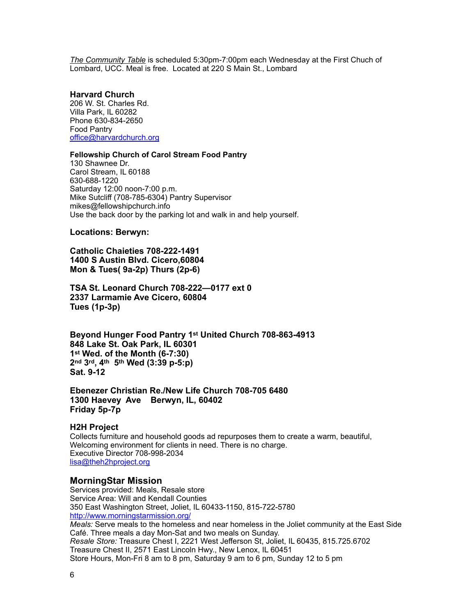*The Community Table* is scheduled 5:30pm-7:00pm each Wednesday at the First Chuch of Lombard, UCC. Meal is free. Located at 220 S Main St., Lombard

#### **Harvard Church**

206 W. St. Charles Rd. Villa Park, IL 60282 Phone 630-834-2650 Food Pantry [office@harvardchurch.org](mailto:office@harvardchurch.org)

#### **Fellowship Church of Carol Stream Food Pantry**

130 Shawnee Dr. Carol Stream, IL 60188 630-688-1220 Saturday 12:00 noon-7:00 p.m. Mike Sutcliff (708-785-6304) Pantry Supervisor mikes@fellowshipchurch.info Use the back door by the parking lot and walk in and help yourself.

#### **Locations: Berwyn:**

**Catholic Chaieties 708-222-1491 1400 S Austin Blvd. Cicero,60804 Mon & Tues( 9a-2p) Thurs (2p-6)**

**TSA St. Leonard Church 708-222—0177 ext 0 2337 Larmamie Ave Cicero, 60804 Tues (1p-3p)**

**Beyond Hunger Food Pantry 1st United Church 708-863-4913 848 Lake St. Oak Park, IL 60301 1st Wed. of the Month (6-7:30) 2nd 3rd, 4th 5th Wed (3:39 p-5:p) Sat. 9-12**

**Ebenezer Christian Re./New Life Church 708-705 6480 1300 Haevey Ave Berwyn, IL, 60402 Friday 5p-7p**

#### **H2H Project**

Collects furniture and household goods ad repurposes them to create a warm, beautiful, Welcoming environment for clients in need. There is no charge. Executive Director 708-998-2034 [lisa@theh2hproject.org](mailto:lisa@theh2hproject.org)

#### <span id="page-5-0"></span>**MorningStar Mission**

Services provided: Meals, Resale store Service Area: Will and Kendall Counties 350 East Washington Street, Joliet, IL 60433-1150, 815-722-5780 <http://www.morningstarmission.org/> *Meals:* Serve meals to the homeless and near homeless in the Joliet community at the East Side Café. Three meals a day Mon-Sat and two meals on Sunday. *Resale Store:* Treasure Chest I, 2221 West Jefferson St, Joliet, IL 60435, 815.725.6702 Treasure Chest II, 2571 East Lincoln Hwy., New Lenox, IL 60451 Store Hours, Mon-Fri 8 am to 8 pm, Saturday 9 am to 6 pm, Sunday 12 to 5 pm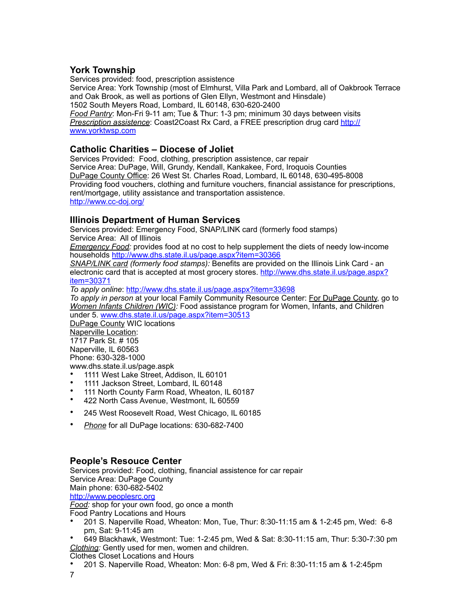### <span id="page-6-0"></span>**York Township**

Services provided: food, prescription assistence Service Area: York Township (most of Elmhurst, Villa Park and Lombard, all of Oakbrook Terrace and Oak Brook, as well as portions of Glen Ellyn, Westmont and Hinsdale) 1502 South Meyers Road, Lombard, IL 60148, 630-620-2400 *Food Pantry*: Mon-Fri 9-11 am; Tue & Thur: 1-3 pm; minimum 30 days between visits *Prescription assistence*: Coast2Coast Rx Card, a FREE prescription drug card [http://](http://www.yorktwsp.com) [www.yorktwsp.com](http://www.yorktwsp.com)

### <span id="page-6-1"></span>**Catholic Charities – Diocese of Joliet**

Services Provided: Food, clothing, prescription assistence, car repair Service Area: DuPage, Will, Grundy, Kendall, Kankakee, Ford, Iroquois Counties DuPage County Office: 26 West St. Charles Road, Lombard, IL 60148, 630-495-8008 Providing food vouchers, clothing and furniture vouchers, financial assistance for prescriptions, rent/mortgage, utility assistance and transportation assistence. <http://www.cc-doj.org/>

### <span id="page-6-2"></span>**Illinois Department of Human Services**

Services provided: Emergency Food, SNAP/LINK card (formerly food stamps) Service Area: All of Illinois

*Emergency Food:* provides food at no cost to help supplement the diets of needy low-income households <http://www.dhs.state.il.us/page.aspx?item=30366>

*SNAP/LINK card (formerly food stamps):* Benefits are provided on the Illinois Link Card - an electronic card that is accepted at most grocery stores. [http://www.dhs.state.il.us/page.aspx?](http://www.dhs.state.il.us/page.aspx?item=30371) [item=30371](http://www.dhs.state.il.us/page.aspx?item=30371)

*To apply online*:<http://www.dhs.state.il.us/page.aspx?item=33698>

*To apply in person* at your local Family Community Resource Center: For DuPage County, go to *Women Infants Children (WIC):* Food assistance program for Women, Infants, and Children under 5. [www.dhs.state.il.us/page.aspx?item=30513](http://www.dhs.state.il.us/page.aspx?item=30513)

DuPage County WIC locations Naperville Location: 1717 Park St. # 105 Naperville, IL 60563 Phone: 630-328-1000 www.dhs.state.il.us/page.aspk

- 1111 West Lake Street, Addison, IL 60101
- 1111 Jackson Street, Lombard, IL 60148
- 111 North County Farm Road, Wheaton, IL 60187 • 422 North Cass Avenue, Westmont, IL 60559
- 
- 245 West Roosevelt Road, West Chicago, IL 60185
- *Phone* for all DuPage locations: 630-682-7400

### <span id="page-6-3"></span>**People's Resouce Center**

Services provided: Food, clothing, financial assistence for car repair Service Area: DuPage County Main phone: 630-682-5402 <http://www.peoplesrc.org> *Food:* shop for your own food, go once a month Food Pantry Locations and Hours • 201 S. Naperville Road, Wheaton: Mon, Tue, Thur: 8:30-11:15 am & 1-2:45 pm, Wed: 6-8 pm, Sat: 9-11:45 am

• 649 Blackhawk, Westmont: Tue: 1-2:45 pm, Wed & Sat: 8:30-11:15 am, Thur: 5:30-7:30 pm *Clothing:* Gently used for men, women and children.

Clothes Closet Locations and Hours

• 201 S. Naperville Road, Wheaton: Mon: 6-8 pm, Wed & Fri: 8:30-11:15 am & 1-2:45pm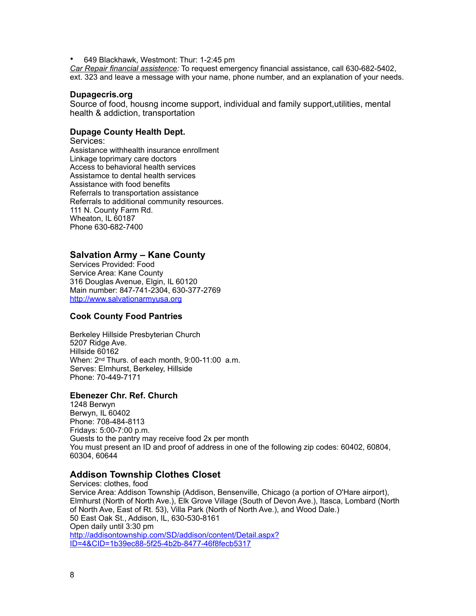• 649 Blackhawk, Westmont: Thur: 1-2:45 pm

*Car Repair financial assistence:* To request emergency financial assistance, call 630-682-5402, ext. 323 and leave a message with your name, phone number, and an explanation of your needs.

#### **Dupagecris.org**

Source of food, housng income support, individual and family support,utilities, mental health & addiction, transportation

#### **Dupage County Health Dept.**

Services:

Assistance withhealth insurance enrollment Linkage toprimary care doctors Access to behavioral health services Assistamce to dental health services Assistance with food benefits Referrals to transportation assistance Referrals to additional community resources. 111 N. County Farm Rd. Wheaton, IL 60187 Phone 630-682-7400

#### <span id="page-7-0"></span>**Salvation Army – Kane County**

Services Provided: Food Service Area: Kane County 316 Douglas Avenue, Elgin, IL 60120 Main number: 847-741-2304, 630-377-2769 <http://www.salvationarmyusa.org>

#### **Cook County Food Pantries**

Berkeley Hillside Presbyterian Church 5207 Ridge Ave. Hillside 60162 When: 2nd Thurs. of each month, 9:00-11:00 a.m. Serves: Elmhurst, Berkeley, Hillside Phone: 70-449-7171

### **Ebenezer Chr. Ref. Church**

1248 Berwyn Berwyn, IL 60402 Phone: 708-484-8113 Fridays: 5:00-7:00 p.m. Guests to the pantry may receive food 2x per month You must present an ID and proof of address in one of the following zip codes: 60402, 60804, 60304, 60644

#### <span id="page-7-1"></span>**Addison Township Clothes Closet**

Services: clothes, food Service Area: Addison Township (Addison, Bensenville, Chicago (a portion of O'Hare airport), Elmhurst (North of North Ave.), Elk Grove Village (South of Devon Ave.), Itasca, Lombard (North of North Ave, East of Rt. 53), Villa Park (North of North Ave.), and Wood Dale.) 50 East Oak St., Addison, IL, 630-530-8161 Open daily until 3:30 pm [http://addisontownship.com/SD/addison/content/Detail.aspx?](http://addisontownship.com/SD/addison/content/Detail.aspx?ID=4&CID=1b39ec88-5f25-4b2b-8477-46f8fecb5317) [ID=4&CID=1b39ec88-5f25-4b2b-8477-46f8fecb5317](http://addisontownship.com/SD/addison/content/Detail.aspx?ID=4&CID=1b39ec88-5f25-4b2b-8477-46f8fecb5317)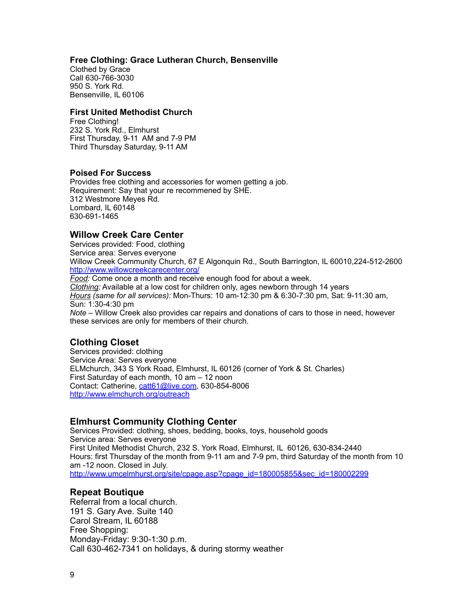#### **Free Clothing: Grace Lutheran Church, Bensenville**

Clothed by Grace Call 630-766-3030 950 S. York Rd. Bensenville, IL 60106

#### **First United Methodist Church**

Free Clothing! 232 S. York Rd., Elmhurst First Thursday, 9-11 AM and 7-9 PM Third Thursday Saturday, 9-11 AM

#### **Poised For Success**

Provides free clothing and accessories for women getting a job. Requirement: Say that your re recommened by SHE. 312 Westmore Meyes Rd. Lombard, IL 60148 630-691-1465

### <span id="page-8-0"></span>**Willow Creek Care Center**

Services provided: Food, clothing Service area: Serves everyone Willow Creek Community Church, 67 E Algonquin Rd., South Barrington, IL 60010,224-512-2600 <http://www.willowcreekcarecenter.org/> *Food:* Come once a month and receive enough food for about a week. *Clothing:* Available at a low cost for children only, ages newborn through 14 years *Hours (same for all services):* Mon-Thurs: 10 am-12:30 pm & 6:30-7:30 pm, Sat: 9-11:30 am, Sun: 1:30-4:30 pm

*Note* – Willow Creek also provides car repairs and donations of cars to those in need, however these services are only for members of their church.

### <span id="page-8-1"></span>**Clothing Closet**

Services provided: clothing Service Area: Serves everyone ELMchurch, 343 S York Road, Elmhurst, IL 60126 (corner of York & St. Charles) First Saturday of each month, 10 am – 12 noon Contact: Catherine, [catt61@live.com](mailto:catt61@live.com), 630-854-8006 <http://www.elmchurch.org/outreach>

### <span id="page-8-2"></span>**Elmhurst Community Clothing Center**

Services Provided: clothing, shoes, bedding, books, toys, household goods Service area: Serves everyone First United Methodist Church, 232 S. York Road, Elmhurst, IL 60126, 630-834-2440 Hours: first Thursday of the month from 9-11 am and 7-9 pm, third Saturday of the month from 10 am -12 noon. Closed in July. [http://www.umcelmhurst.org/site/cpage.asp?cpage\\_id=180005855&sec\\_id=180002299](http://www.umcelmhurst.org/site/cpage.asp?cpage_id=180005855&sec_id=180002299)

### **Repeat Boutique**

Referral from a local church. 191 S. Gary Ave. Suite 140 Carol Stream, IL 60188 Free Shopping: Monday-Friday: 9:30-1:30 p.m. Call 630-462-7341 on holidays, & during stormy weather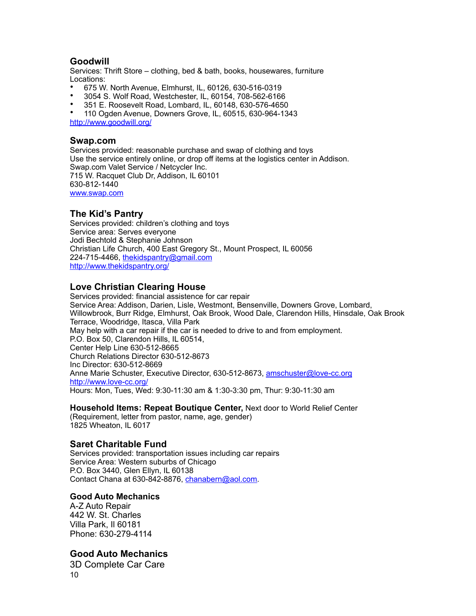### <span id="page-9-0"></span>**Goodwill**

Services: Thrift Store – clothing, bed & bath, books, housewares, furniture Locations:

- 675 W. North Avenue, Elmhurst, IL, 60126, 630-516-0319
- 3054 S. Wolf Road, Westchester, IL, 60154, 708-562-6166
- 351 E. Roosevelt Road, Lombard, IL, 60148, 630-576-4650

• 110 Ogden Avenue, Downers Grove, IL, 60515, 630-964-1343

<http://www.goodwill.org/>

#### <span id="page-9-1"></span>**Swap.com**

Services provided: reasonable purchase and swap of clothing and toys Use the service entirely online, or drop off items at the logistics center in Addison. Swap.com Valet Service / Netcycler Inc. 715 W. Racquet Club Dr, Addison, IL 60101 630-812-1440 [www.swap.com](http://www.swap.com)

### <span id="page-9-2"></span>**The Kid's Pantry**

Services provided: children's clothing and toys Service area: Serves everyone Jodi Bechtold & Stephanie Johnson Christian Life Church, 400 East Gregory St., Mount Prospect, IL 60056 224-715-4466, the kidspantry@gmail.com <http://www.thekidspantry.org/>

### <span id="page-9-3"></span>**Love Christian Clearing House**

Services provided: financial assistence for car repair Service Area: Addison, Darien, Lisle, Westmont, Bensenville, Downers Grove, Lombard, Willowbrook, Burr Ridge, Elmhurst, Oak Brook, Wood Dale, Clarendon Hills, Hinsdale, Oak Brook Terrace, Woodridge, Itasca, Villa Park May help with a car repair if the car is needed to drive to and from employment. P.O. Box 50, Clarendon Hills, IL 60514, Center Help Line 630-512-8665 Church Relations Director 630-512-8673 Inc Director: 630-512-8669 Anne Marie Schuster, Executive Director, 630-512-8673, [amschuster@love-cc.org](mailto:amschuster@love-cc.org) <http://www.love-cc.org/> Hours: Mon, Tues, Wed: 9:30-11:30 am & 1:30-3:30 pm, Thur: 9:30-11:30 am

**Household Items: Repeat Boutique Center,** Next door to World Relief Center (Requirement, letter from pastor, name, age, gender) 1825 Wheaton, IL 6017

### <span id="page-9-4"></span>**Saret Charitable Fund**

Services provided: transportation issues including car repairs Service Area: Western suburbs of Chicago P.O. Box 3440, Glen Ellyn, IL 60138 Contact Chana at 630-842-8876, [chanabern@aol.com.](mailto:chanabern@aol.com)

#### **Good Auto Mechanics**

A-Z Auto Repair 442 W. St. Charles Villa Park, Il 60181 Phone: 630-279-4114

### **Good Auto Mechanics**

3D Complete Car Care 10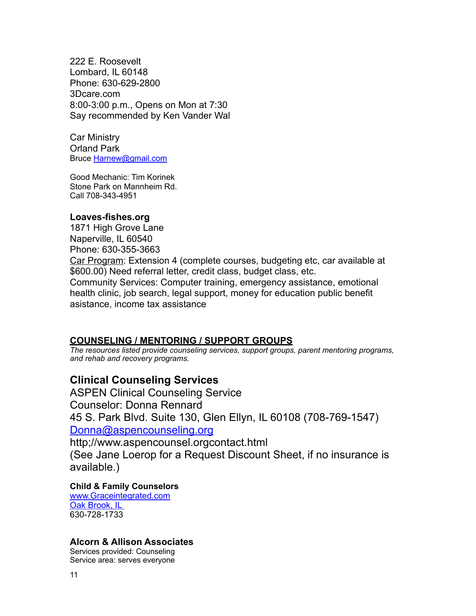222 E. Roosevelt Lombard, IL 60148 Phone: 630-629-2800 3Dcare.com 8:00-3:00 p.m., Opens on Mon at 7:30 Say recommended by Ken Vander Wal

Car Ministry Orland Park Bruce [Harnew@gmail.com](mailto:Harnew@gmail.com)

Good Mechanic: Tim Korinek Stone Park on Mannheim Rd. Call 708-343-4951

### **Loaves-fishes.org**

1871 High Grove Lane Naperville, IL 60540 Phone: 630-355-3663 Car Program: Extension 4 (complete courses, budgeting etc, car available at \$600.00) Need referral letter, credit class, budget class, etc. Community Services: Computer training, emergency assistance, emotional health clinic, job search, legal support, money for education public benefit asistance, income tax assistance

### <span id="page-10-0"></span>**COUNSELING / MENTORING / SUPPORT GROUPS**

*The resources listed provide counseling services, support groups, parent mentoring programs, and rehab and recovery programs.*

## <span id="page-10-1"></span>**Clinical Counseling Services**

ASPEN Clinical Counseling Service Counselor: Donna Rennard 45 S. Park Blvd. Suite 130, Glen Ellyn, IL 60108 (708-769-1547) [Donna@aspencounseling.org](mailto:Donna@aspencounseling.org)

http;//www.aspencounsel.orgcontact.html (See Jane Loerop for a Request Discount Sheet, if no insurance is

available.)

### **Child & Family Counselors**

[www.Graceintegrated.com](http://www.Graceintegrated.com) Oak Brook, IL 630-728-1733

### <span id="page-10-2"></span>**Alcorn & Allison Associates**

Services provided: Counseling Service area: serves everyone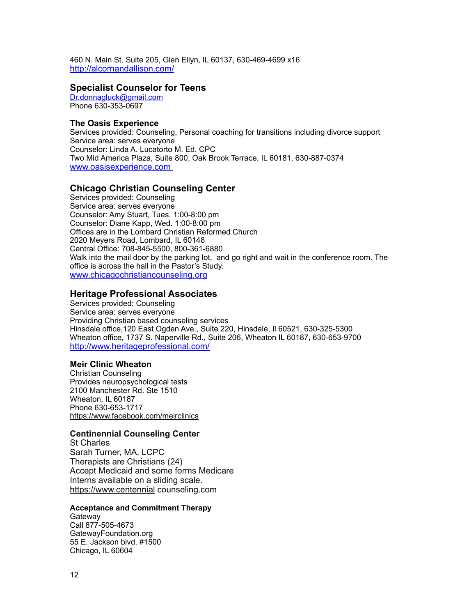460 N. Main St. Suite 205, Glen Ellyn, IL 60137, 630-469-4699 x16 <http://alcornandallison.com/>

#### **Specialist Counselor for Teens**

[Dr.donnagluck@gmail.com](mailto:Dr.donnagluck@gamil.com) Phone 630-353-0697

#### **The Oasis Experience**

Services provided: Counseling, Personal coaching for transitions including divorce support Service area: serves everyone Counselor: Linda A. Lucatorto M. Ed. CPC Two Mid America Plaza, Suite 800, Oak Brook Terrace, IL 60181, 630-887-0374 [www.oasisexperience.com](http://www.oasisexperience.com)

### <span id="page-11-0"></span>**Chicago Christian Counseling Center**

Services provided: Counseling Service area: serves everyone Counselor: Amy Stuart, Tues. 1:00-8:00 pm Counselor: Diane Kapp, Wed. 1:00-8:00 pm Offices are in the Lombard Christian Reformed Church 2020 Meyers Road, Lombard, IL 60148 Central Office: 708-845-5500, 800-361-6880 Walk into the mail door by the parking lot, and go right and wait in the conference room. The office is across the hall in the Pastor's Study. [www.chicagochristiancounseling.org](http://www.chicagochristiancounseling.org)

### <span id="page-11-1"></span>**Heritage Professional Associates**

Services provided: Counseling Service area: serves everyone Providing Christian based counseling services Hinsdale office,120 East Ogden Ave., Suite 220, Hinsdale, Il 60521, 630-325-5300 Wheaton office, 1737 S. Naperville Rd., Suite 206, Wheaton IL 60187, 630-653-9700 <http://www.heritageprofessional.com/>

#### **Meir Clinic Wheaton**

Christian Counseling Provides neuropsychological tests 2100 Manchester Rd. Ste 1510 Wheaton, IL 60187 Phone 630-653-1717 <https://www.facebook.com/meirclinics>

#### **Centinennial Counseling Center**

St Charles Sarah Turner, MA, LCPC Therapists are Christians (24) Accept Medicaid and some forms Medicare Interns available on a sliding scale. <https://www.centennial> counseling.com

#### **Acceptance and Commitment Therapy**

**Gateway** Call 877-505-4673 GatewayFoundation.org 55 E. Jackson blvd. #1500 Chicago, IL 60604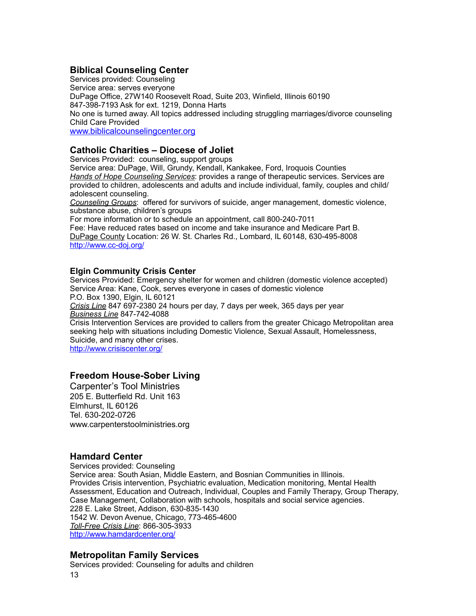### <span id="page-12-0"></span>**Biblical Counseling Center**

Services provided: Counseling Service area: serves everyone DuPage Office, 27W140 Roosevelt Road, Suite 203, Winfield, Illinois 60190 847-398-7193 Ask for ext. 1219, Donna Harts No one is turned away. All topics addressed including struggling marriages/divorce counseling Child Care Provided [www.biblicalcounselingcenter.org](http://www.biblicalcounselingcenter.org)

### <span id="page-12-1"></span>**Catholic Charities – Diocese of Joliet**

Services Provided: counseling, support groups Service area: DuPage, Will, Grundy, Kendall, Kankakee, Ford, Iroquois Counties *Hands of Hope Counseling Services*: provides a range of therapeutic services. Services are provided to children, adolescents and adults and include individual, family, couples and child/ adolescent counseling. *Counseling Groups*: offered for survivors of suicide, anger management, domestic violence, substance abuse, children's groups

For more information or to schedule an appointment, call 800-240-7011 Fee: Have reduced rates based on income and take insurance and Medicare Part B. DuPage County Location: 26 W. St. Charles Rd., Lombard, IL 60148, 630-495-8008

<http://www.cc-doj.org/>

#### **Elgin Community Crisis Center**

Services Provided: Emergency shelter for women and children (domestic violence accepted) Service Area: Kane, Cook, serves everyone in cases of domestic violence P.O. Box 1390, Elgin, IL 60121 *Crisis Line* 847 697-2380 24 hours per day, 7 days per week, 365 days per year *Business Line* 847-742-4088 Crisis Intervention Services are provided to callers from the greater Chicago Metropolitan area seeking help with situations including Domestic Violence, Sexual Assault, Homelessness, Suicide, and many other crises. <http://www.crisiscenter.org/>

### **Freedom House-Sober Living**

Carpenter's Tool Ministries 205 E. Butterfield Rd. Unit 163 Elmhurst, IL 60126 Tel. 630-202-0726 www.carpenterstoolministries.org

### <span id="page-12-2"></span>**Hamdard Center**

Services provided: Counseling Service area: South Asian, Middle Eastern, and Bosnian Communities in Illinois. Provides Crisis intervention, Psychiatric evaluation, Medication monitoring, Mental Health Assessment, Education and Outreach, Individual, Couples and Family Therapy, Group Therapy, Case Management, Collaboration with schools, hospitals and social service agencies. 228 E. Lake Street, Addison, 630-835-1430 1542 W. Devon Avenue, Chicago, 773-465-4600 *Toll-Free Crisis Line*: 866-305-3933 <http://www.hamdardcenter.org/>

### <span id="page-12-3"></span>**Metropolitan Family Services**

Services provided: Counseling for adults and children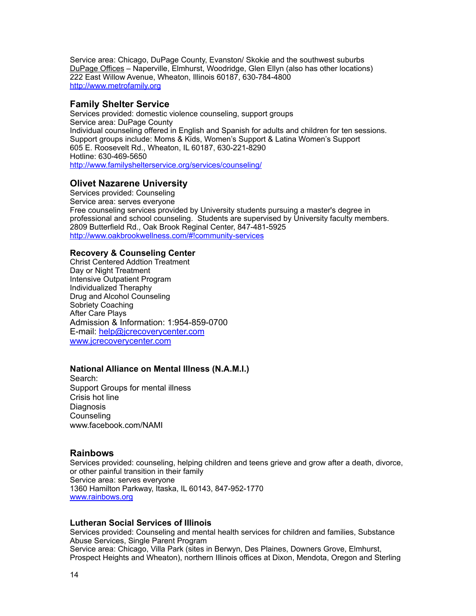Service area: Chicago, DuPage County, Evanston/ Skokie and the southwest suburbs DuPage Offices – Naperville, Elmhurst, Woodridge, Glen Ellyn (also has other locations) 222 East Willow Avenue, Wheaton, Illinois 60187, 630-784-4800 <http://www.metrofamily.org>

#### <span id="page-13-0"></span>**Family Shelter Service**

Services provided: domestic violence counseling, support groups Service area: DuPage County Individual counseling offered in English and Spanish for adults and children for ten sessions. Support groups include: Moms & Kids, Women's Support & Latina Women's Support 605 E. Roosevelt Rd., Wheaton, IL 60187, 630-221-8290 Hotline: 630-469-5650 <http://www.familyshelterservice.org/services/counseling/>

### <span id="page-13-1"></span>**Olivet Nazarene University**

Services provided: Counseling Service area: serves everyone Free counseling services provided by University students pursuing a master's degree in professional and school counseling. Students are supervised by University faculty members. 2809 Butterfield Rd., Oak Brook Reginal Center, 847-481-5925 <http://www.oakbrookwellness.com/#!community-services>

#### **Recovery & Counseling Center**

Christ Centered Addtion Treatment Day or Night Treatment Intensive Outpatient Program Individualized Theraphy Drug and Alcohol Counseling Sobriety Coaching After Care Plays Admission & Information: 1:954-859-0700 E-mail: [help@jcrecoverycenter.com](mailto:help@jcrecoverycenter.com) [www.jcrecoverycenter.com](http://www.jcrecoverycenter.com)

#### **National Alliance on Mental Illness (N.A.M.I.)**

Search: Support Groups for mental illness Crisis hot line **Diagnosis** Counseling www.facebook.com/NAMI

#### <span id="page-13-2"></span>**Rainbows**

Services provided: counseling, helping children and teens grieve and grow after a death, divorce, or other painful transition in their family Service area: serves everyone 1360 Hamilton Parkway, Itaska, IL 60143, 847-952-1770 [www.rainbows.org](http://www.rainbows.org)

#### **Lutheran Social Services of Illinois**

Services provided: Counseling and mental health services for children and families, Substance Abuse Services, Single Parent Program Service area: Chicago, Villa Park (sites in Berwyn, Des Plaines, Downers Grove, Elmhurst, Prospect Heights and Wheaton), northern Illinois offices at Dixon, Mendota, Oregon and Sterling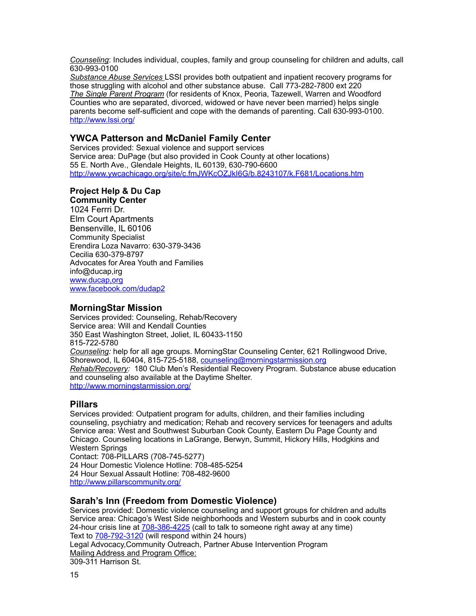*Counseling*: Includes individual, couples, family and group counseling for children and adults, call 630-993-0100

*Substance Abuse Services* LSSI provides both outpatient and inpatient recovery programs for those struggling with alcohol and other substance abuse. Call 773-282-7800 ext 220 *The Single Parent Program* (for residents of Knox, Peoria, Tazewell, Warren and Woodford Counties who are separated, divorced, widowed or have never been married) helps single parents become self-sufficient and cope with the demands of parenting. Call 630-993-0100. <http://www.lssi.org/>

### <span id="page-14-0"></span>**YWCA Patterson and McDaniel Family Center**

Services provided: Sexual violence and support services Service area: DuPage (but also provided in Cook County at other locations) 55 E. North Ave., Glendale Heights, IL 60139, 630-790-6600 <http://www.ywcachicago.org/site/c.fmJWKcOZJkI6G/b.8243107/k.F681/Locations.htm>

#### **Project Help & Du Cap Community Center**

1024 Ferrri Dr. Elm Court Apartments Bensenville, IL 60106 Community Specialist Erendira Loza Navarro: 630-379-3436 Cecilia 630-379-8797 Advocates for Area Youth and Families info@ducap,irg [www.ducap,org](http://www.ducap,org) [www.facebook.com/dudap2](http://www.facebook.com/dudap2)

#### <span id="page-14-1"></span>**MorningStar Mission**

Services provided: Counseling, Rehab/Recovery Service area: Will and Kendall Counties 350 East Washington Street, Joliet, IL 60433-1150 815-722-5780 *Counseling:* help for all age groups. MorningStar Counseling Center, 621 Rollingwood Drive, Shorewood, IL 60404, 815-725-5188, [counseling@morningstarmission.org](mailto:counseling@morningstarmission.org) *Rehab/Recovery:* 180 Club Men's Residential Recovery Program. Substance abuse education and counseling also available at the Daytime Shelter. <http://www.morningstarmission.org/>

### <span id="page-14-2"></span>**Pillars**

Services provided: Outpatient program for adults, children, and their families including counseling, psychiatry and medication; Rehab and recovery services for teenagers and adults Service area: West and Southwest Suburban Cook County, Eastern Du Page County and Chicago. Counseling locations in LaGrange, Berwyn, Summit, Hickory Hills, Hodgkins and Western Springs

Contact: 708-PILLARS (708-745-5277) 24 Hour Domestic Violence Hotline: 708-485-5254 24 Hour Sexual Assault Hotline: 708-482-9600 <http://www.pillarscommunity.org/>

### <span id="page-14-3"></span>**Sarah's Inn (Freedom from Domestic Violence)**

Services provided: Domestic violence counseling and support groups for children and adults Service area: Chicago's West Side neighborhoods and Western suburbs and in cook county 24-hour crisis line at [708-386-4225](tel:+17083864225) (call to talk to someone right away at any time) Text to 708-792-3120 (will respond within 24 hours) Legal Advocacy,Community Outreach, Partner Abuse Intervention Program Mailing Address and Program Office: 309-311 Harrison St.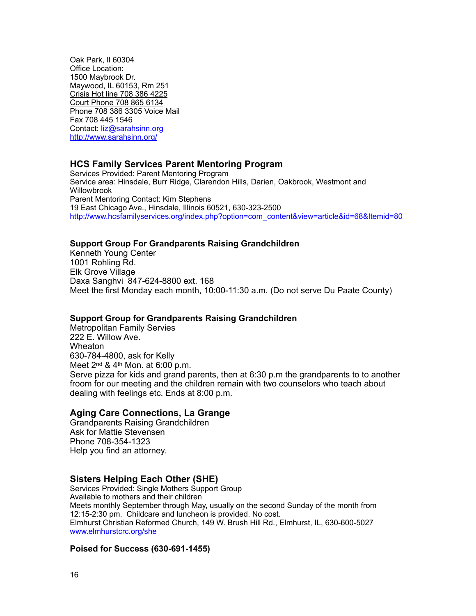Oak Park, Il 60304 Office Location: 1500 Maybrook Dr. Maywood, IL 60153, Rm 251 Crisis Hot line 708 386 4225 Court Phone 708 865 6134 Phone 708 386 3305 Voice Mail Fax 708 445 1546 Contact: [liz@sarahsinn.org](mailto:liz@sarahsinn.org) <http://www.sarahsinn.org/>

### <span id="page-15-0"></span>**HCS Family Services Parent Mentoring Program**

Services Provided: Parent Mentoring Program Service area: Hinsdale, Burr Ridge, Clarendon Hills, Darien, Oakbrook, Westmont and **Willowbrook** Parent Mentoring Contact: Kim Stephens 19 East Chicago Ave., Hinsdale, Illinois 60521, 630-323-2500 [http://www.hcsfamilyservices.org/index.php?option=com\\_content&view=article&id=68&Itemid=80](http://www.hcsfamilyservices.org/index.php?option=com_content&view=article&id=68&Itemid=80)

#### **Support Group For Grandparents Raising Grandchildren**

Kenneth Young Center 1001 Rohling Rd. Elk Grove Village Daxa Sanghvi 847-624-8800 ext. 168 Meet the first Monday each month, 10:00-11:30 a.m. (Do not serve Du Paate County)

#### **Support Group for Grandparents Raising Grandchildren**

Metropolitan Family Servies 222 E. Willow Ave. Wheaton 630-784-4800, ask for Kelly Meet 2nd & 4th Mon. at 6:00 p.m. Serve pizza for kids and grand parents, then at 6:30 p.m the grandparents to to another froom for our meeting and the children remain with two counselors who teach about dealing with feelings etc. Ends at 8:00 p.m.

### **Aging Care Connections, La Grange**

Grandparents Raising Grandchildren Ask for Mattie Stevensen Phone 708-354-1323 Help you find an attorney.

### <span id="page-15-1"></span>**Sisters Helping Each Other (SHE)**

Services Provided: Single Mothers Support Group Available to mothers and their children Meets monthly September through May, usually on the second Sunday of the month from 12:15-2:30 pm. Childcare and luncheon is provided. No cost. Elmhurst Christian Reformed Church, 149 W. Brush Hill Rd., Elmhurst, IL, 630-600-5027 [www.elmhurstcrc.org/she](http://www.elmhurstcrc.org/she)

#### **Poised for Success (630-691-1455)**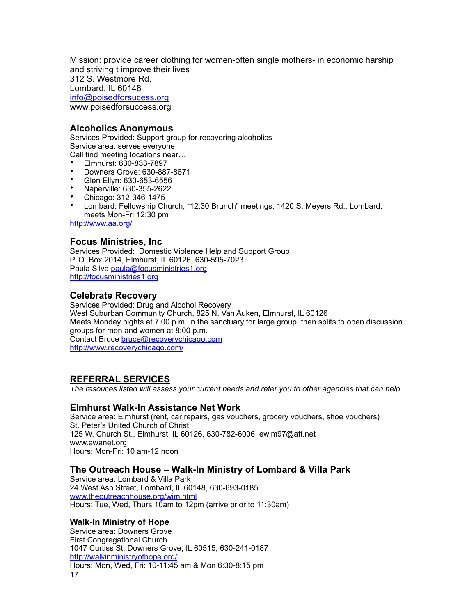Mission: provide career clothing for women-often single mothers- in economic harship and striving t improve their lives 312 S. Westmore Rd. Lombard, IL 60148 [info@poisedforsucess.org](mailto:info@poisedforsucess.org) www.poisedforsuccess.org

### <span id="page-16-0"></span>**Alcoholics Anonymous**

Services Provided: Support group for recovering alcoholics Service area: serves everyone Call find meeting locations near…

- Elmhurst: 630-833-7897
- Downers Grove: 630-887-8671
- Glen Ellyn: 630-653-6556
- Naperville: 630-355-2622
- Chicago: 312-346-1475
- Lombard: Fellowship Church, "12:30 Brunch" meetings, 1420 S. Meyers Rd., Lombard, meets Mon-Fri 12:30 pm

<http://www.aa.org/>

### <span id="page-16-1"></span>**Focus Ministries, Inc**

Services Provided: Domestic Violence Help and Support Group P. O. Box 2014, Elmhurst, IL 60126, 630-595-7023 Paula Silva [paula@focusministries1.org](mailto:paula@focusministries1.org) <http://focusministries1.org>

### <span id="page-16-2"></span>**Celebrate Recovery**

Services Provided: Drug and Alcohol Recovery West Suburban Community Church, 825 N. Van Auken, Elmhurst, IL 60126 Meets Monday nights at 7:00 p.m. in the sanctuary for large group, then splits to open discussion groups for men and women at 8:00 p.m. Contact Bruce [bruce@recoverychicago.com](mailto:bruce@recoverychicago.com) <http://www.recoverychicago.com/>

### <span id="page-16-3"></span>**REFERRAL SERVICES**

*The resouces listed will assess your current needs and refer you to other agencies that can help.*

### <span id="page-16-4"></span>**Elmhurst Walk-In Assistance Net Work**

Service area: Elmhurst (rent, car repairs, gas vouchers, grocery vouchers, shoe vouchers) St. Peter's United Church of Christ 125 W. Church St., Elmhurst, IL 60126, 630-782-6006, [ewim97@att.net](mailto:ewim97@att.net) www.ewanet.org Hours: Mon-Fri: 10 am-12 noon

### <span id="page-16-5"></span>**The Outreach House – Walk-In Ministry of Lombard & Villa Park**

Service area: Lombard & Villa Park 24 West Ash Street, Lombard, IL 60148, 630-693-0185 [www.theoutreachhouse.org/wim.html](http://www.theoutreachhouse.org/wim.html) Hours: Tue, Wed, Thurs 10am to 12pm (arrive prior to 11:30am)

### **Walk-In Ministry of Hope**

Service area: Downers Grove First Congregational Church 1047 Curtiss St, Downers Grove, IL 60515, 630-241-0187 <http://walkinministryofhope.org/> Hours: Mon, Wed, Fri: 10-11:45 am & Mon 6:30-8:15 pm 17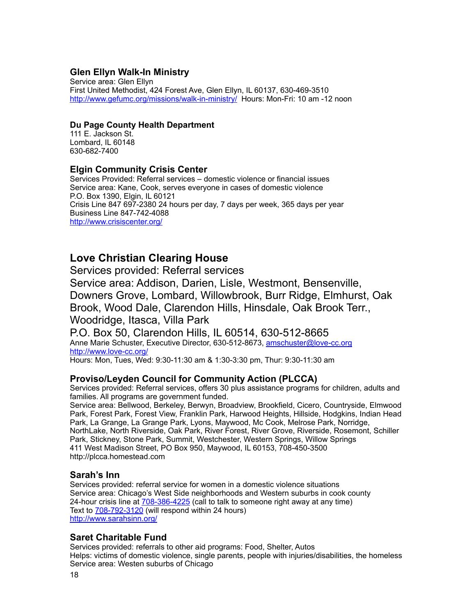### <span id="page-17-0"></span>**Glen Ellyn Walk-In Ministry**

Service area: Glen Ellyn First United Methodist, 424 Forest Ave, Glen Ellyn, IL 60137, 630-469-3510 <http://www.gefumc.org/missions/walk-in-ministry/> Hours: Mon-Fri: 10 am -12 noon

### **Du Page County Health Department**

111 E. Jackson St. Lombard, IL 60148 630-682-7400

### <span id="page-17-1"></span>**Elgin Community Crisis Center**

Services Provided: Referral services – domestic violence or financial issues Service area: Kane, Cook, serves everyone in cases of domestic violence P.O. Box 1390, Elgin, IL 60121 Crisis Line 847 697-2380 24 hours per day, 7 days per week, 365 days per year Business Line 847-742-4088 <http://www.crisiscenter.org/>

# <span id="page-17-2"></span>**Love Christian Clearing House**

Services provided: Referral services Service area: Addison, Darien, Lisle, Westmont, Bensenville, Downers Grove, Lombard, Willowbrook, Burr Ridge, Elmhurst, Oak Brook, Wood Dale, Clarendon Hills, Hinsdale, Oak Brook Terr., Woodridge, Itasca, Villa Park

P.O. Box 50, Clarendon Hills, IL 60514, 630-512-8665 Anne Marie Schuster, Executive Director, 630-512-8673, [amschuster@love-cc.org](mailto:amschuster@love-cc.org) <http://www.love-cc.org/> Hours: Mon, Tues, Wed: 9:30-11:30 am & 1:30-3:30 pm, Thur: 9:30-11:30 am

### <span id="page-17-3"></span>**Proviso/Leyden Council for Community Action (PLCCA)**

Services provided: Referral services, offers 30 plus assistance programs for children, adults and families. All programs are government funded.

Service area: Bellwood, Berkeley, Berwyn, Broadview, Brookfield, Cicero, Countryside, Elmwood Park, Forest Park, Forest View, Franklin Park, Harwood Heights, Hillside, Hodgkins, Indian Head Park, La Grange, La Grange Park, Lyons, Maywood, Mc Cook, Melrose Park, Norridge, NorthLake, North Riverside, Oak Park, River Forest, River Grove, Riverside, Rosemont, Schiller Park, Stickney, Stone Park, Summit, Westchester, Western Springs, Willow Springs 411 West Madison Street, PO Box 950, Maywood, IL 60153, 708-450-3500 http://plcca.homestead.com

### <span id="page-17-4"></span>**Sarah's Inn**

Services provided: referral service for women in a domestic violence situations Service area: Chicago's West Side neighborhoods and Western suburbs in cook county 24-hour crisis line at [708-386-4225](tel:+17083864225) (call to talk to someone right away at any time) Text to **708-792-3120** (will respond within 24 hours) <http://www.sarahsinn.org/>

### <span id="page-17-5"></span>**Saret Charitable Fund**

Services provided: referrals to other aid programs: Food, Shelter, Autos Helps: victims of domestic violence, single parents, people with injuries/disabilities, the homeless Service area: Westen suburbs of Chicago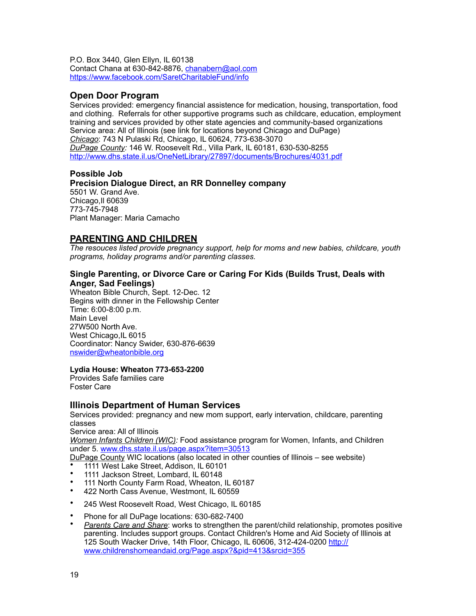P.O. Box 3440, Glen Ellyn, IL 60138 Contact Chana at 630-842-8876, [chanabern@aol.com](mailto:chanabern@aol.com) <https://www.facebook.com/SaretCharitableFund/info>

### <span id="page-18-0"></span>**Open Door Program**

Services provided: emergency financial assistence for medication, housing, transportation, food and clothing. Referrals for other supportive programs such as childcare, education, employment training and services provided by other state agencies and community-based organizations Service area: All of Illinois (see link for locations beyond Chicago and DuPage) *Chicago*: 743 N Pulaski Rd, Chicago, IL 60624, 773-638-3070 *DuPage County:* 146 W. Roosevelt Rd., Villa Park, IL 60181, 630-530-8255 <http://www.dhs.state.il.us/OneNetLibrary/27897/documents/Brochures/4031.pdf>

### **Possible Job**

**Precision Dialogue Direct, an RR Donnelley company**  5501 W. Grand Ave. Chicago,Il 60639 773-745-7948 Plant Manager: Maria Camacho

### <span id="page-18-1"></span>**PARENTING AND CHILDREN**

*The resouces listed provide pregnancy support, help for moms and new babies, childcare, youth programs, holiday programs and/or parenting classes.* 

#### **Single Parenting, or Divorce Care or Caring For Kids (Builds Trust, Deals with Anger, Sad Feelings)**

Wheaton Bible Church, Sept. 12-Dec. 12 Begins with dinner in the Fellowship Center Time: 6:00-8:00 p.m. Main Level 27W500 North Ave. West Chicago, IL 6015 Coordinator: Nancy Swider, 630-876-6639 [nswider@wheatonbible.org](mailto:nswider@wheatonbible.org)

#### **Lydia House: Wheaton 773-653-2200**

Provides Safe families care Foster Care

### <span id="page-18-2"></span>**Illinois Department of Human Services**

Services provided: pregnancy and new mom support, early intervation, childcare, parenting classes Service area: All of Illinois

*Women Infants Children (WIC):* Food assistance program for Women, Infants, and Children under 5. [www.dhs.state.il.us/page.aspx?item=30513](http://www.dhs.state.il.us/page.aspx?item=30513)

DuPage County WIC locations (also located in other counties of Illinois – see website)

- 1111 West Lake Street, Addison, IL 60101
- 1111 Jackson Street, Lombard, IL 60148<br>• 111 North County Farm Boad, Whoaten
- 111 North County Farm Road, Wheaton, IL 60187<br>• 122 North Cass Avenue Westment, IL 60559
- 422 North Cass Avenue, Westmont, IL 60559
- 245 West Roosevelt Road, West Chicago, IL 60185
- Phone for all DuPage locations: 630-682-7400
- *Parents Care and Share*: works to strengthen the parent/child relationship, promotes positive parenting. Includes support groups. Contact Children's Home and Aid Society of Illinois at 125 South Wacker Drive, 14th Floor, Chicago, IL 60606, 312-424-0200 [http://](http://www.childrenshomeandaid.org/Page.aspx?&pid=413&srcid=355) [www.childrenshomeandaid.org/Page.aspx?&pid=413&srcid=355](http://www.childrenshomeandaid.org/Page.aspx?&pid=413&srcid=355)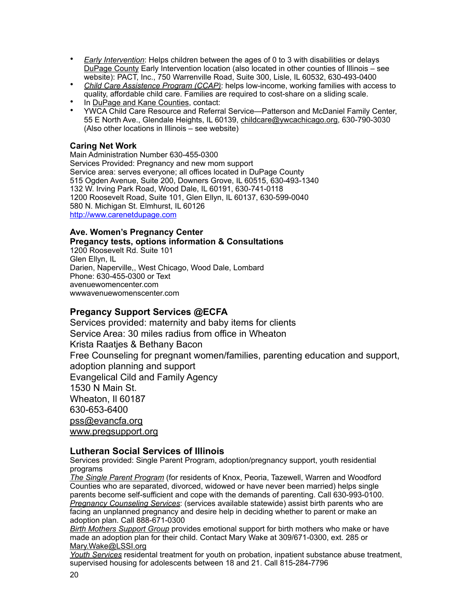- *Early Intervention*: Helps children between the ages of 0 to 3 with disabilities or delays DuPage County Early Intervention location (also located in other counties of Illinois – see website): PACT, Inc., 750 Warrenville Road, Suite 300, Lisle, IL 60532, 630-493-0400
- *Child Care Assistence Program (CCAP)*: helps low-income, working families with access to quality, affordable child care. Families are required to cost-share on a sliding scale.
- In DuPage and Kane Counties, contact:
- YWCA Child Care Resource and Referral Service—Patterson and McDaniel Family Center, 55 E North Ave., Glendale Heights, IL 60139, [childcare@ywcachicago.org](mailto:childcare@ywcachicago.org), 630-790-3030 (Also other locations in Illinois – see website)

### **Caring Net Work**

Main Administration Number 630-455-0300 Services Provided: Pregnancy and new mom support Service area: serves everyone; all offices located in DuPage County 515 Ogden Avenue, Suite 200, Downers Grove, IL 60515, 630-493-1340 132 W. Irving Park Road, Wood Dale, IL 60191, 630-741-0118 1200 Roosevelt Road, Suite 101, Glen Ellyn, IL 60137, 630-599-0040 580 N. Michigan St. Elmhurst, IL 60126 <http://www.carenetdupage.com>

#### **Ave. Women's Pregnancy Center Pregancy tests, options information & Consultations**

1200 Roosevelt Rd. Suite 101 Glen Ellyn, IL Darien, Naperville,, West Chicago, Wood Dale, Lombard Phone: 630-455-0300 or Text avenuewomencenter.com wwwavenuewomenscenter.com

### **Pregancy Support Services @ECFA**

Services provided: maternity and baby items for clients Service Area: 30 miles radius from office in Wheaton Krista Raatjes & Bethany Bacon Free Counseling for pregnant women/families, parenting education and support, adoption planning and support Evangelical Cild and Family Agency 1530 N Main St. Wheaton, Il 60187 630-653-6400 [pss@evancfa.org](mailto:pss@evancfa.org) [www.pregsupport.org](http://www.pregsupport.org)

### <span id="page-19-0"></span>**Lutheran Social Services of Illinois**

Services provided: Single Parent Program, adoption/pregnancy support, youth residential programs

*The Single Parent Program* (for residents of Knox, Peoria, Tazewell, Warren and Woodford Counties who are separated, divorced, widowed or have never been married) helps single parents become self-sufficient and cope with the demands of parenting. Call 630-993-0100. *Pregnancy Counseling Services*: (services available statewide) assist birth parents who are facing an unplanned pregnancy and desire help in deciding whether to parent or make an adoption plan. Call 888-671-0300

*Birth Mothers Support Group* provides emotional support for birth mothers who make or have made an adoption plan for their child. Contact Mary Wake at 309/671-0300, ext. 285 or [Mary.Wake@LSSI.org](mailto:Mary.Wake@lssi.org)

*Youth Services* residental treatment for youth on probation, inpatient substance abuse treatment, supervised housing for adolescents between 18 and 21. Call 815-284-7796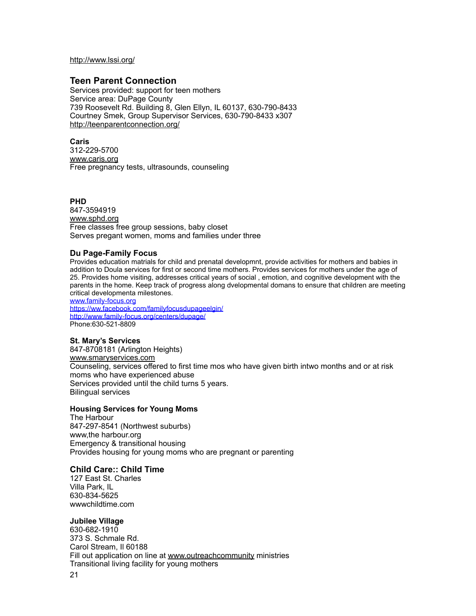<http://www.lssi.org/>

#### <span id="page-20-0"></span>**Teen Parent Connection**

Services provided: support for teen mothers Service area: DuPage County 739 Roosevelt Rd. Building 8, Glen Ellyn, IL 60137, 630-790-8433 Courtney Smek, Group Supervisor Services, 630-790-8433 x307 <http://teenparentconnection.org/>

#### **Caris**

312-229-5700 [www.caris.org](http://www.caris.org) Free pregnancy tests, ultrasounds, counseling

#### **PHD**

847-3594919 [www.sphd.org](http://www.sphd.org) Free classes free group sessions, baby closet Serves pregant women, moms and families under three

#### **Du Page-Family Focus**

Provides education matrials for child and prenatal developmnt, provide activities for mothers and babies in addition to Doula services for first or second time mothers. Provides services for mothers under the age of 25. Provides home visiting, addresses critical years of social , emotion, and cognitive development with the parents in the home. Keep track of progress along dvelopmental domans to ensure that children are meeting critical developmenta milestones.

[www.family-focus.org](http://www.family-focus.org)

<https://ww.facebook.com/familyfocusdupageelgin/> <http://www.family-focus.org/centers/dupage/> Phone:630-521-8809

#### **St. Mary's Services**

847-8708181 (Arlington Heights) [www.smaryservices.com](http://www.smaryservices.com) Counseling, services offered to first time mos who have given birth intwo months and or at risk moms who have experienced abuse Services provided until the child turns 5 years. Bilingual services

#### **Housing Services for Young Moms**

The Harbour 847-297-8541 (Northwest suburbs) www,the harbour.org Emergency & transitional housing Provides housing for young moms who are pregnant or parenting

#### **Child Care:: Child Time**

127 East St. Charles Villa Park, IL 630-834-5625 wwwchildtime.com

#### **Jubilee Village**

630-682-1910 373 S. Schmale Rd. Carol Stream, Il 60188 Fill out application on line at [www.outreachcommunity](http://www.outreachcommunity) ministries Transitional living facility for young mothers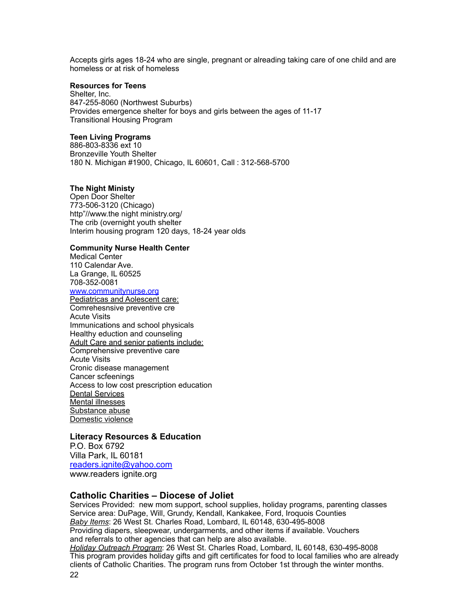Accepts girls ages 18-24 who are single, pregnant or alreading taking care of one child and are homeless or at risk of homeless

#### **Resources for Teens**

Shelter, Inc. 847-255-8060 (Northwest Suburbs) Provides emergence shelter for boys and girls between the ages of 11-17 Transitional Housing Program

#### **Teen Living Programs**

886-803-8336 ext 10 Bronzeville Youth Shelter 180 N. Michigan #1900, Chicago, IL 60601, Call : 312-568-5700

#### **The Night Ministy**

Open Door Shelter 773-506-3120 (Chicago) http"//www.the night ministry.org/ The crib (overnight youth shelter Interim housing program 120 days, 18-24 year olds

#### **Community Nurse Health Center**

Medical Center 110 Calendar Ave. La Grange, IL 60525 708-352-0081

#### [www.communitynurse.org](http://www.communitynurse.org)

Pediatricas and Aolescent care: Comrehesnsive preventive cre Acute Visits Immunications and school physicals Healthy eduction and counseling Adult Care and senior patients include: Comprehensive preventive care Acute Visits Cronic disease management Cancer scfeenings Access to low cost prescription education Dental Services Mental illnesses Substance abuse Domestic violence

#### **Literacy Resources & Education**

P.O. Box 6792 Villa Park, IL 60181 [readers.ignite@yahoo.com](mailto:readers.ignite@yahoo.com) www.readers ignite.org

#### <span id="page-21-0"></span>**Catholic Charities – Diocese of Joliet**

Services Provided: new mom support, school supplies, holiday programs, parenting classes Service area: DuPage, Will, Grundy, Kendall, Kankakee, Ford, Iroquois Counties *Baby Items*: 26 West St. Charles Road, Lombard, IL 60148, 630-495-8008 Providing diapers, sleepwear, undergarments, and other items if available. Vouchers and referrals to other agencies that can help are also available. *Holiday Outreach Program*: 26 West St. Charles Road, Lombard, IL 60148, 630-495-8008 This program provides holiday gifts and gift certificates for food to local families who are already clients of Catholic Charities. The program runs from October 1st through the winter months. 22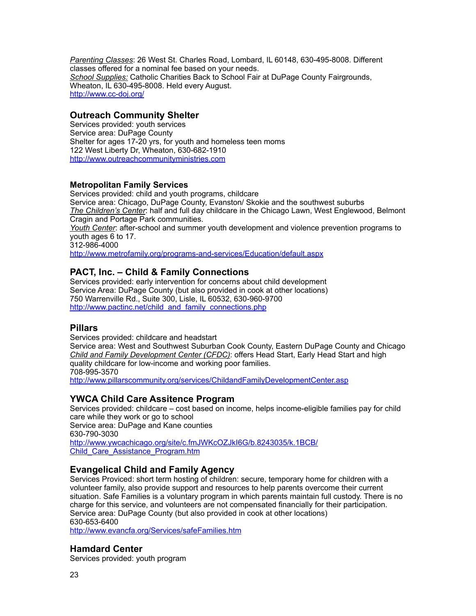*Parenting Classes*: 26 West St. Charles Road, Lombard, IL 60148, 630-495-8008. Different classes offered for a nominal fee based on your needs. *School Supplies:* Catholic Charities Back to School Fair at DuPage County Fairgrounds, Wheaton, IL 630-495-8008. Held every August. <http://www.cc-doj.org/>

### <span id="page-22-0"></span>**Outreach Community Shelter**

Services provided: youth services Service area: DuPage County Shelter for ages 17-20 yrs, for youth and homeless teen moms 122 West Liberty Dr, Wheaton, 630-682-1910 <http://www.outreachcommunityministries.com>

### **Metropolitan Family Services**

Services provided: child and youth programs, childcare Service area: Chicago, DuPage County, Evanston/ Skokie and the southwest suburbs *The Children's Center*: half and full day childcare in the Chicago Lawn, West Englewood, Belmont Cragin and Portage Park communities.

*Youth Center*: after-school and summer youth development and violence prevention programs to youth ages 6 to 17.

312-986-4000

<http://www.metrofamily.org/programs-and-services/Education/default.aspx>

### <span id="page-22-1"></span>**PACT, Inc. – Child & Family Connections**

Services provided: early intervention for concerns about child development Service Area: DuPage County (but also provided in cook at other locations) 750 Warrenville Rd., Suite 300, Lisle, IL 60532, 630-960-9700 [http://www.pactinc.net/child\\_and\\_family\\_connections.php](http://www.pactinc.net/child_and_family_connections.php)

### <span id="page-22-2"></span>**Pillars**

Services provided: childcare and headstart

Service area: West and Southwest Suburban Cook County, Eastern DuPage County and Chicago *Child and Family Development Center (CFDC)*: offers Head Start, Early Head Start and high quality childcare for low-income and working poor families. 708-995-3570

<http://www.pillarscommunity.org/services/ChildandFamilyDevelopmentCenter.asp>

### <span id="page-22-3"></span>**YWCA Child Care Assitence Program**

Services provided: childcare – cost based on income, helps income-eligible families pay for child care while they work or go to school Service area: DuPage and Kane counties 630-790-3030 [http://www.ywcachicago.org/site/c.fmJWKcOZJkI6G/b.8243035/k.1BCB/](http://www.ywcachicago.org/site/c.fmJWKcOZJkI6G/b.8243035/k.1BCB/Child_Care_Assistance_Program.htm) [Child\\_Care\\_Assistance\\_Program.htm](http://www.ywcachicago.org/site/c.fmJWKcOZJkI6G/b.8243035/k.1BCB/Child_Care_Assistance_Program.htm)

### <span id="page-22-4"></span>**Evangelical Child and Family Agency**

Services Proviced: short term hosting of children: secure, temporary home for children with a volunteer family, also provide support and resources to help parents overcome their current situation. Safe Families is a voluntary program in which parents maintain full custody. There is no charge for this service, and volunteers are not compensated financially for their participation. Service area: DuPage County (but also provided in cook at other locations) 630-653-6400

<http://www.evancfa.org/Services/safeFamilies.htm>

### <span id="page-22-5"></span>**Hamdard Center**

Services provided: youth program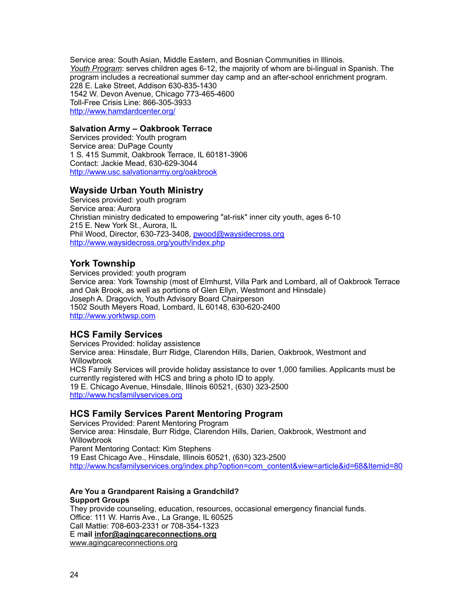Service area: South Asian, Middle Eastern, and Bosnian Communities in Illinois. *Youth Program*: serves children ages 6-12, the majority of whom are bi-lingual in Spanish. The program includes a recreational summer day camp and an after-school enrichment program. 228 E. Lake Street, Addison 630-835-1430 1542 W. Devon Avenue, Chicago 773-465-4600 Toll-Free Crisis Line: 866-305-3933 <http://www.hamdardcenter.org/>

#### **Salvation Army – Oakbrook Terrace**

Services provided: Youth program Service area: DuPage County 1 S. 415 Summit, Oakbrook Terrace, IL 60181-3906 Contact: Jackie Mead, 630-629-3044 <http://www.usc.salvationarmy.org/oakbrook>

### <span id="page-23-0"></span>**Wayside Urban Youth Ministry**

Services provided: youth program Service area: Aurora Christian ministry dedicated to empowering "at-risk" inner city youth, ages 6-10 215 E. New York St., Aurora, IL Phil Wood, Director, 630-723-3408, [pwood@waysidecross.org](mailto:ewood@waysidecross.org) <http://www.waysidecross.org/youth/index.php>

### <span id="page-23-1"></span>**York Township**

Services provided: youth program Service area: York Township (most of Elmhurst, Villa Park and Lombard, all of Oakbrook Terrace and Oak Brook, as well as portions of Glen Ellyn, Westmont and Hinsdale) Joseph A. Dragovich, Youth Advisory Board Chairperson 1502 South Meyers Road, Lombard, IL 60148, 630-620-2400 <http://www.yorktwsp.com>

#### <span id="page-23-2"></span>**HCS Family Services**

Services Provided: holiday assistence Service area: Hinsdale, Burr Ridge, Clarendon Hills, Darien, Oakbrook, Westmont and Willowbrook HCS Family Services will provide holiday assistance to over 1,000 families. Applicants must be currently registered with HCS and bring a photo ID to apply. 19 E. Chicago Avenue, Hinsdale, Illinois 60521, (630) 323-2500 <http://www.hcsfamilyservices.org>

### <span id="page-23-3"></span>**HCS Family Services Parent Mentoring Program**

Services Provided: Parent Mentoring Program Service area: Hinsdale, Burr Ridge, Clarendon Hills, Darien, Oakbrook, Westmont and **Willowbrook** Parent Mentoring Contact: Kim Stephens 19 East Chicago Ave., Hinsdale, Illinois 60521, (630) 323-2500 [http://www.hcsfamilyservices.org/index.php?option=com\\_content&view=article&id=68&Itemid=80](http://www.hcsfamilyservices.org/index.php?option=com_content&view=article&id=68&Itemid=80)

#### **Are You a Grandparent Raising a Grandchild? Support Groups**

They provide counseling, education, resources, occasional emergency financial funds. Office: 111 W. Harris Ave., La Grange, IL 60525 Call Mattie: 708-603-2331 or 708-354-1323 E m**ail [infor@agingcareconnections.org](mailto:infor@agingcareconnections.org)** [www.agingcareconnections.org](http://www.agingcareconnections.org)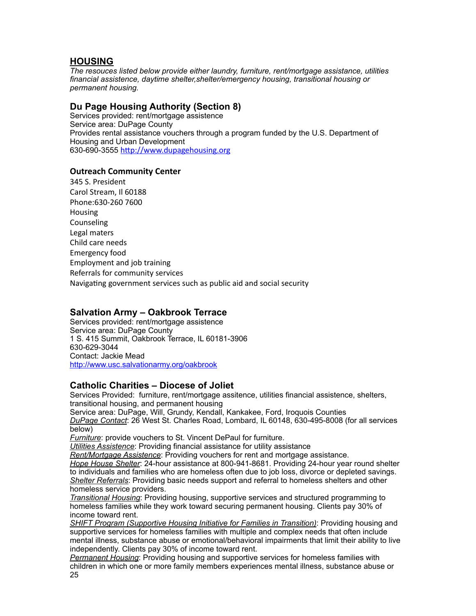### <span id="page-24-0"></span>**HOUSING**

*The resouces listed below provide either laundry, furniture, rent/mortgage assistance, utilities financial assistence, daytime shelter,shelter/emergency housing, transitional housing or permanent housing.* 

### <span id="page-24-1"></span>**Du Page Housing Authority (Section 8)**

Services provided: rent/mortgage assistence Service area: DuPage County Provides rental assistance vouchers through a program funded by the U.S. Department of Housing and Urban Development 630-690-3555 <http://www.dupagehousing.org>

### **Outreach Community Center**

345 S. President Carol Stream, Il 60188 Phone:630-260 7600 Housing Counseling Legal maters Child care needs Emergency food Employment and job training Referrals for community services Navigating government services such as public aid and social security

### <span id="page-24-2"></span>**Salvation Army – Oakbrook Terrace**

Services provided: rent/mortgage assistence Service area: DuPage County 1 S. 415 Summit, Oakbrook Terrace, IL 60181-3906 630-629-3044 Contact: Jackie Mead <http://www.usc.salvationarmy.org/oakbrook>

### <span id="page-24-3"></span>**Catholic Charities – Diocese of Joliet**

Services Provided: furniture, rent/mortgage assitence, utilities financial assistence, shelters, transitional housing, and permanent housing Service area: DuPage, Will, Grundy, Kendall, Kankakee, Ford, Iroquois Counties *DuPage Contact*: 26 West St. Charles Road, Lombard, IL 60148, 630-495-8008 (for all services below)

*Furniture*: provide vouchers to St. Vincent DePaul for furniture.

*Utilities Assistence*: Providing financial assistance for utility assistance

*Rent/Mortgage Assistence*: Providing vouchers for rent and mortgage assistance.

*Hope House Shelter*: 24-hour assistance at 800-941-8681. Providing 24-hour year round shelter to individuals and families who are homeless often due to job loss, divorce or depleted savings. *Shelter Referrals*: Providing basic needs support and referral to homeless shelters and other homeless service providers.

*Transitional Housing*: Providing housing, supportive services and structured programming to homeless families while they work toward securing permanent housing. Clients pay 30% of income toward rent.

*SHIFT Program (Supportive Housing Initiative for Families in Transition)*: Providing housing and supportive services for homeless families with multiple and complex needs that often include mental illness, substance abuse or emotional/behavioral impairments that limit their ability to live independently. Clients pay 30% of income toward rent.

*Permanent Housing*: Providing housing and supportive services for homeless families with children in which one or more family members experiences mental illness, substance abuse or 25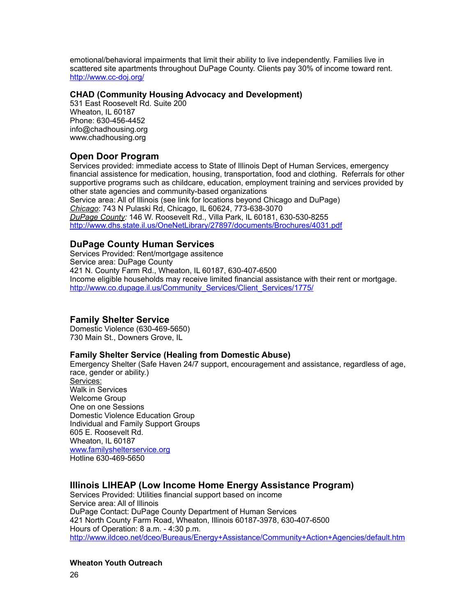emotional/behavioral impairments that limit their ability to live independently. Families live in scattered site apartments throughout DuPage County. Clients pay 30% of income toward rent. <http://www.cc-doj.org/>

### **CHAD (Community Housing Advocacy and Development)**

531 East Roosevelt Rd. Suite 200 Wheaton, IL 60187 Phone: 630-456-4452 info@chadhousing.org www.chadhousing.org

### <span id="page-25-0"></span>**Open Door Program**

Services provided: immediate access to State of Illinois Dept of Human Services, emergency financial assistence for medication, housing, transportation, food and clothing. Referrals for other supportive programs such as childcare, education, employment training and services provided by other state agencies and community-based organizations Service area: All of Illinois (see link for locations beyond Chicago and DuPage) *Chicago*: 743 N Pulaski Rd, Chicago, IL 60624, 773-638-3070 *DuPage County:* 146 W. Roosevelt Rd., Villa Park, IL 60181, 630-530-8255 <http://www.dhs.state.il.us/OneNetLibrary/27897/documents/Brochures/4031.pdf>

### <span id="page-25-1"></span>**DuPage County Human Services**

Services Provided: Rent/mortgage assitence Service area: DuPage County 421 N. County Farm Rd., Wheaton, IL 60187, 630-407-6500 Income eligible households may receive limited financial assistance with their rent or mortgage. [http://www.co.dupage.il.us/Community\\_Services/Client\\_Services/1775/](http://www.co.dupage.il.us/Community_Services/Client_Services/1775/)

### **Family Shelter Service**

Domestic Violence (630-469-5650) 730 Main St., Downers Grove, IL

#### **Family Shelter Service (Healing from Domestic Abuse)**

Emergency Shelter (Safe Haven 24/7 support, encouragement and assistance, regardless of age, race, gender or ability.) Services: Walk in Services Welcome Group One on one Sessions Domestic Violence Education Group Individual and Family Support Groups 605 E. Roosevelt Rd. Wheaton, IL 60187 [www.familyshelterservice.org](http://www.familyshelterservice.org) Hotline 630-469-5650

### <span id="page-25-2"></span>**Illinois LIHEAP (Low Income Home Energy Assistance Program)**

Services Provided: Utilities financial support based on income Service area: All of Illinois DuPage Contact: DuPage County Department of Human Services 421 North County Farm Road, Wheaton, Illinois 60187-3978, 630-407-6500 Hours of Operation: 8 a.m. - 4:30 p.m. <http://www.ildceo.net/dceo/Bureaus/Energy+Assistance/Community+Action+Agencies/default.htm>

#### **Wheaton Youth Outreach**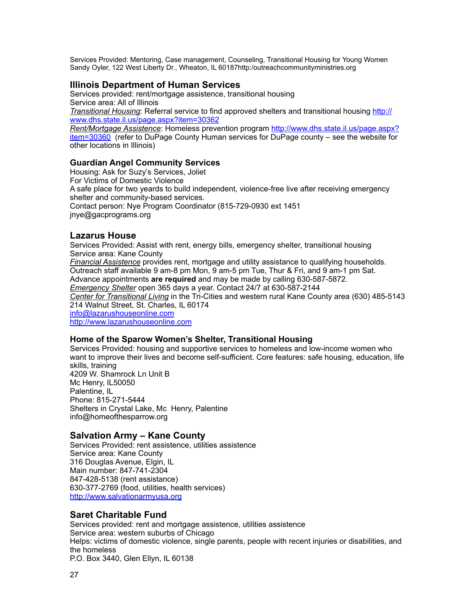Services Provided: Mentoring, Case management, Counseling, Transitional Housing for Young Women Sandy Oyler, 122 West Liberty Dr., Wheaton, IL 60187http:/outreachcommunityministries.org

### <span id="page-26-0"></span>**Illinois Department of Human Services**

Services provided: rent/mortgage assistence, transitional housing Service area: All of Illinois *Transitional Housing*: Referral service to find approved shelters and transitional housing [http://](http://www.dhs.state.il.us/page.aspx?item=30362) [www.dhs.state.il.us/page.aspx?item=30362](http://www.dhs.state.il.us/page.aspx?item=30362) *Rent/Mortgage Assistence*: Homeless prevention program [http://www.dhs.state.il.us/page.aspx?](http://www.dhs.state.il.us/page.aspx?item=30360) [item=30360](http://www.dhs.state.il.us/page.aspx?item=30360) (refer to DuPage County Human services for DuPage county – see the website for other locations in Illinois)

### **Guardian Angel Community Services**

Housing: Ask for Suzy's Services, Joliet For Victims of Domestic Violence A safe place for two yeards to build independent, violence-free live after receiving emergency shelter and community-based services. Contact person: Nye Program Coordinator (815-729-0930 ext 1451 jnye@gacprograms.org

### <span id="page-26-1"></span>**Lazarus House**

Services Provided: Assist with rent, energy bills, emergency shelter, transitional housing Service area: Kane County *Financial Assistence* provides rent, mortgage and utility assistance to qualifying households. Outreach staff available 9 am-8 pm Mon, 9 am-5 pm Tue, Thur & Fri, and 9 am-1 pm Sat. Advance appointments **are required** and may be made by calling 630-587-5872. *Emergency Shelter* open 365 days a year. Contact 24/7 at 630-587-2144 *Center for Transitional Living* in the Tri-Cities and western rural Kane County area (630) 485-5143 214 Walnut Street, St. Charles, IL 60174 [info@lazarushouseonline.com](mailto:info@lazarushouseonline.com) <http://www.lazarushouseonline.com>

#### **Home of the Sparow Women's Shelter, Transitional Housing**

Services Provided: housing and supportive services to homeless and low-income women who want to improve their lives and become self-sufficient. Core features: safe housing, education, life skills, training 4209 W. Shamrock Ln Unit B Mc Henry, IL50050 Palentine, IL Phone: 815-271-5444 Shelters in Crystal Lake, Mc Henry, Palentine info@homeofthesparrow.org

#### <span id="page-26-2"></span>**Salvation Army – Kane County**

Services Provided: rent assistence, utilities assistence Service area: Kane County 316 Douglas Avenue, Elgin, IL Main number: 847-741-2304 847-428-5138 (rent assistance) 630-377-2769 (food, utilities, health services) <http://www.salvationarmyusa.org>

#### <span id="page-26-3"></span>**Saret Charitable Fund**

Services provided: rent and mortgage assistence, utilities assistence Service area: western suburbs of Chicago Helps: victims of domestic violence, single parents, people with recent injuries or disabilities, and the homeless P.O. Box 3440, Glen Ellyn, IL 60138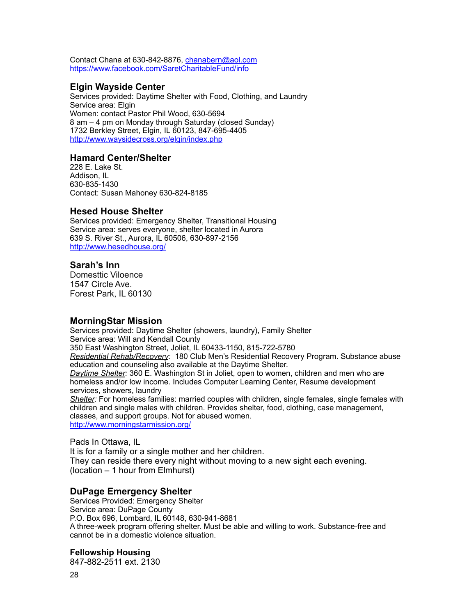Contact Chana at 630-842-8876, [chanabern@aol.com](mailto:chanabern@aol.com) <https://www.facebook.com/SaretCharitableFund/info>

### <span id="page-27-0"></span>**Elgin Wayside Center**

Services provided: Daytime Shelter with Food, Clothing, and Laundry Service area: Elgin Women: contact Pastor Phil Wood, 630-5694 8 am – 4 pm on Monday through Saturday (closed Sunday) 1732 Berkley Street, Elgin, IL 60123, 847-695-4405 <http://www.waysidecross.org/elgin/index.php>

#### **Hamard Center/Shelter**

228 E. Lake St. Addison, IL 630-835-1430 Contact: Susan Mahoney 630-824-8185

### <span id="page-27-1"></span>**Hesed House Shelter**

Services provided: Emergency Shelter, Transitional Housing Service area: serves everyone, shelter located in Aurora 639 S. River St., Aurora, IL 60506, 630-897-2156 <http://www.hesedhouse.org/>

#### **Sarah's Inn**

Domesttic Viloence 1547 Circle Ave. Forest Park, IL 60130

#### <span id="page-27-2"></span>**MorningStar Mission**

Services provided: Daytime Shelter (showers, laundry), Family Shelter Service area: Will and Kendall County 350 East Washington Street, Joliet, IL 60433-1150, 815-722-5780 *Residential Rehab/Recovery:* 180 Club Men's Residential Recovery Program. Substance abuse education and counseling also available at the Daytime Shelter. *Daytime Shelter:* 360 E. Washington St in Joliet, open to women, children and men who are homeless and/or low income. Includes Computer Learning Center, Resume development services, showers, laundry *Shelter:* For homeless families: married couples with children, single females, single females with children and single males with children. Provides shelter, food, clothing, case management, classes, and support groups. Not for abused women. <http://www.morningstarmission.org/>

Pads In Ottawa, IL It is for a family or a single mother and her children. They can reside there every night without moving to a new sight each evening. (location – 1 hour from Elmhurst)

#### <span id="page-27-3"></span>**DuPage Emergency Shelter**

Services Provided: Emergency Shelter Service area: DuPage County P.O. Box 696, Lombard, IL 60148, 630-941-8681 A three-week program offering shelter. Must be able and willing to work. Substance-free and cannot be in a domestic violence situation.

#### **Fellowship Housing**

847-882-2511 ext. 2130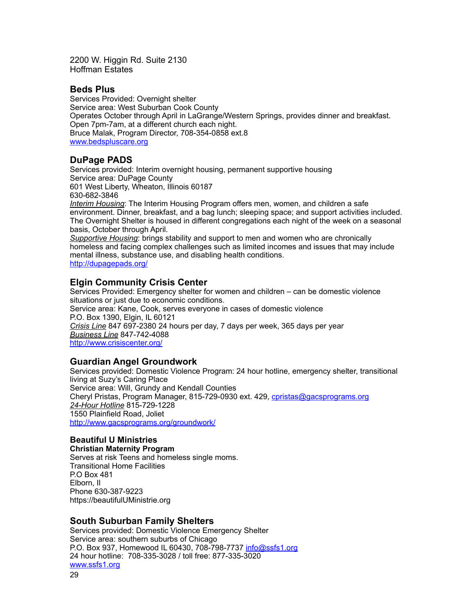2200 W. Higgin Rd. Suite 2130 Hoffman Estates

### <span id="page-28-0"></span>**Beds Plus**

Services Provided: Overnight shelter Service area: West Suburban Cook County Operates October through April in LaGrange/Western Springs, provides dinner and breakfast. Open 7pm-7am, at a different church each night. Bruce Malak, Program Director, 708-354-0858 ext.8 [www.bedspluscare.org](http://www.bedspluscare.org)

### <span id="page-28-1"></span>**DuPage PADS**

Services provided: Interim overnight housing, permanent supportive housing Service area: DuPage County 601 West Liberty, Wheaton, Illinois 60187 630-682-3846 *Interim Housing*: The Interim Housing Program offers men, women, and children a safe environment. Dinner, breakfast, and a bag lunch; sleeping space; and support activities included. The Overnight Shelter is housed in different congregations each night of the week on a seasonal basis, October through April. *Supportive Housing*: brings stability and support to men and women who are chronically homeless and facing complex challenges such as limited incomes and issues that may include mental illness, substance use, and disabling health conditions.

<http://dupagepads.org/>

### <span id="page-28-2"></span>**Elgin Community Crisis Center**

Services Provided: Emergency shelter for women and children – can be domestic violence situations or just due to economic conditions. Service area: Kane, Cook, serves everyone in cases of domestic violence P.O. Box 1390, Elgin, IL 60121 *Crisis Line* 847 697-2380 24 hours per day, 7 days per week, 365 days per year *Business Line* 847-742-4088 <http://www.crisiscenter.org/>

### <span id="page-28-3"></span>**Guardian Angel Groundwork**

Services provided: Domestic Violence Program: 24 hour hotline, emergency shelter, transitional living at Suzy's Caring Place Service area: Will, Grundy and Kendall Counties Cheryl Pristas, Program Manager, 815-729-0930 ext. 429, [cpristas@gacsprograms.org](mailto:cpristas@gacsprograms.org) *24-Hour Hotline* 815-729-1228 1550 Plainfield Road, Joliet <http://www.gacsprograms.org/groundwork/>

#### **Beautiful U Ministries Christian Maternity Program**

Serves at risk Teens and homeless single moms. Transitional Home Facilities P.O Box 481 Elborn, Il Phone 630-387-9223 https://beautifulUMinistrie.org

### <span id="page-28-4"></span>**South Suburban Family Shelters**

Services provided: Domestic Violence Emergency Shelter Service area: southern suburbs of Chicago P.O. Box 937, Homewood IL 60430, 708-798-7737 [info@ssfs1.org](mailto:info@ssfs1.org) 24 hour hotline: 708-335-3028 / toll free: 877-335-3020 [www.ssfs1.org](http://www.ssfs1.org) 29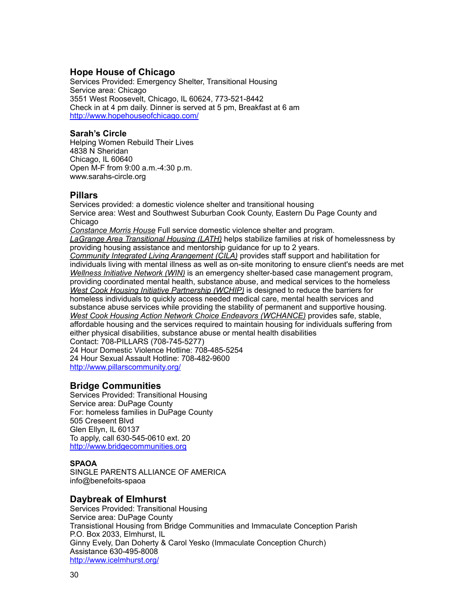### <span id="page-29-0"></span>**Hope House of Chicago**

Services Provided: Emergency Shelter, Transitional Housing Service area: Chicago 3551 West Roosevelt, Chicago, IL 60624, 773-521-8442 Check in at 4 pm daily. Dinner is served at 5 pm, Breakfast at 6 am http://www.hopehouseofchicago.com/

#### **Sarah's Circle**

Helping Women Rebuild Their Lives 4838 N Sheridan Chicago, IL 60640 Open M-F from 9:00 a.m.-4:30 p.m. www.sarahs-circle.org

### <span id="page-29-1"></span>**Pillars**

Services provided: a domestic violence shelter and transitional housing Service area: West and Southwest Suburban Cook County, Eastern Du Page County and Chicago *Constance Morris House* Full service domestic violence shelter and program.

*LaGrange Area Transitional Housing (LATH)* helps stabilize families at risk of homelessness by providing housing assistance and mentorship guidance for up to 2 years. *Community Integrated Living Arangement (CILA)* provides staff support and habilitation for individuals living with mental illness as well as on-site monitoring to ensure client's needs are met *Wellness Initiative Network (WIN)* is an emergency shelter-based case management program, providing coordinated mental health, substance abuse, and medical services to the homeless *West Cook Housing Initiative Partnership (WCHIP)* is designed to reduce the barriers for homeless individuals to quickly access needed medical care, mental health services and substance abuse services while providing the stability of permanent and supportive housing. *West Cook Housing Action Network Choice Endeavors (WCHANCE)* provides safe, stable, affordable housing and the services required to maintain housing for individuals suffering from either physical disabilities, substance abuse or mental health disabilities Contact: 708-PILLARS (708-745-5277)

24 Hour Domestic Violence Hotline: 708-485-5254 24 Hour Sexual Assault Hotline: 708-482-9600 <http://www.pillarscommunity.org/>

### <span id="page-29-2"></span>**Bridge Communities**

Services Provided: Transitional Housing Service area: DuPage County For: homeless families in DuPage County 505 Creseent Blvd Glen Ellyn, IL 60137 To apply, call 630-545-0610 ext. 20 <http://www.bridgecommunities.org>

#### **SPAOA**

SINGLE PARENTS ALLIANCE OF AMERICA info@benefoits-spaoa

### <span id="page-29-3"></span>**Daybreak of Elmhurst**

Services Provided: Transitional Housing Service area: DuPage County Transistional Housing from Bridge Communities and Immaculate Conception Parish P.O. Box 2033, Elmhurst, IL Ginny Evely, Dan Doherty & Carol Yesko (Immaculate Conception Church) Assistance 630-495-8008 <http://www.icelmhurst.org/>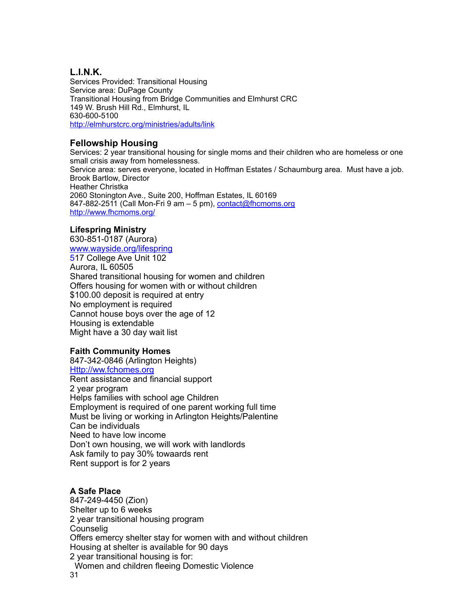### <span id="page-30-0"></span>**L.I.N.K.**

Services Provided: Transitional Housing Service area: DuPage County Transitional Housing from Bridge Communities and Elmhurst CRC 149 W. Brush Hill Rd., Elmhurst, IL 630-600-5100 <http://elmhurstcrc.org/ministries/adults/link>

### <span id="page-30-1"></span>**Fellowship Housing**

Services: 2 year transitional housing for single moms and their children who are homeless or one small crisis away from homelessness. Service area: serves everyone, located in Hoffman Estates / Schaumburg area. Must have a job. Brook Bartlow, Director Heather Christka 2060 Stonington Ave., Suite 200, Hoffman Estates, IL 60169 847-882-2511 (Call Mon-Fri 9 am - 5 pm), [contact@fhcmoms.org](mailto:contact@fhcmoms.org) <http://www.fhcmoms.org/>

### **Lifespring Ministry**

630-851-0187 (Aurora) [www.wayside.org/lifespring](http://www.wayside.org/lifespring) 517 College Ave Unit 102 Aurora, IL 60505 Shared transitional housing for women and children Offers housing for women with or without children \$100.00 deposit is required at entry No employment is required Cannot house boys over the age of 12 Housing is extendable Might have a 30 day wait list

### **Faith Community Homes**

847-342-0846 (Arlington Heights) Http://ww.fchomes.org Rent assistance and financial support 2 year program Helps families with school age Children Employment is required of one parent working full time Must be living or working in Arlington Heights/Palentine Can be individuals Need to have low income Don't own housing, we will work with landlords Ask family to pay 30% towaards rent Rent support is for 2 years

### **A Safe Place**

847-249-4450 (Zion) Shelter up to 6 weeks 2 year transitional housing program Counselig Offers emercy shelter stay for women with and without children Housing at shelter is available for 90 days 2 year transitional housing is for: Women and children fleeing Domestic Violence 31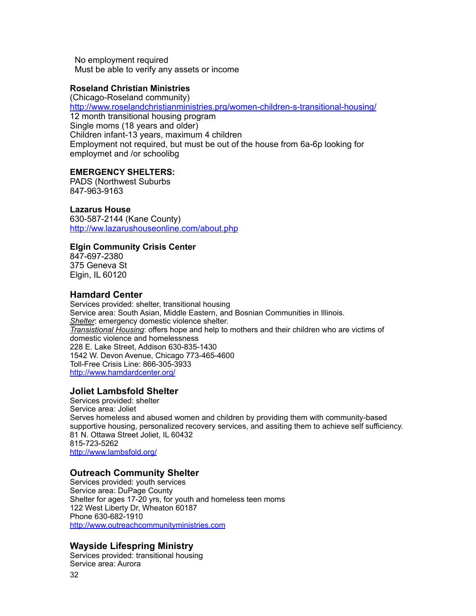No employment required Must be able to verify any assets or income

### **Roseland Christian Ministries**

(Chicago-Roseland community) <http://www.roselandchristianministries.prg/women-children-s-transitional-housing/> 12 month transitional housing program Single moms (18 years and older) Children infant-13 years, maximum 4 children Employment not required, but must be out of the house from 6a-6p looking for employmet and /or schoolibg

### **EMERGENCY SHELTERS:**

PADS (Northwest Suburbs 847-963-9163

### **Lazarus House**

630-587-2144 (Kane County) <http://ww.lazarushouseonline.com/about.php>

### **Elgin Community Crisis Center**

847-697-2380 375 Geneva St Elgin, IL 60120

### <span id="page-31-0"></span>**Hamdard Center**

Services provided: shelter, transitional housing Service area: South Asian, Middle Eastern, and Bosnian Communities in Illinois. *Shelter*: emergency domestic violence shelter. *Transistional Housing*: offers hope and help to mothers and their children who are victims of domestic violence and homelessness 228 E. Lake Street, Addison 630-835-1430 1542 W. Devon Avenue, Chicago 773-465-4600 Toll-Free Crisis Line: 866-305-3933 <http://www.hamdardcenter.org/>

### <span id="page-31-1"></span>**Joliet Lambsfold Shelter**

Services provided: shelter Service area: Joliet Serves homeless and abused women and children by providing them with community-based supportive housing, personalized recovery services, and assiting them to achieve self sufficiency. 81 N. Ottawa Street Joliet, IL 60432 815-723-5262 <http://www.lambsfold.org/>

### <span id="page-31-2"></span>**Outreach Community Shelter**

Services provided: youth services Service area: DuPage County Shelter for ages 17-20 yrs, for youth and homeless teen moms 122 West Liberty Dr, Wheaton 60187 Phone 630-682-1910 <http://www.outreachcommunityministries.com>

### <span id="page-31-3"></span>**Wayside Lifespring Ministry**

Services provided: transitional housing Service area: Aurora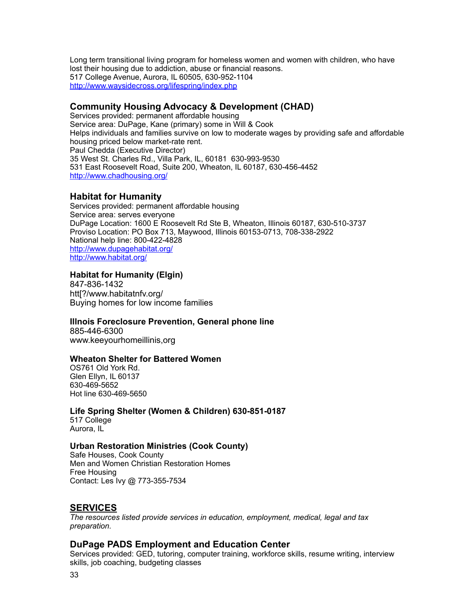Long term transitional living program for homeless women and women with children, who have lost their housing due to addiction, abuse or financial reasons. 517 College Avenue, Aurora, IL 60505, 630-952-1104 <http://www.waysidecross.org/lifespring/index.php>

### <span id="page-32-0"></span>**Community Housing Advocacy & Development (CHAD)**

Services provided: permanent affordable housing Service area: DuPage, Kane (primary) some in Will & Cook Helps individuals and families survive on low to moderate wages by providing safe and affordable housing priced below market-rate rent. Paul Chedda (Executive Director) 35 West St. Charles Rd., Villa Park, IL, 60181 630-993-9530 531 East Roosevelt Road, Suite 200, Wheaton, IL 60187, 630-456-4452 <http://www.chadhousing.org/>

### <span id="page-32-1"></span>**Habitat for Humanity**

Services provided: permanent affordable housing Service area: serves everyone DuPage Location: 1600 E Roosevelt Rd Ste B, Wheaton, Illinois 60187, 630-510-3737 Proviso Location: PO Box 713, Maywood, Illinois 60153-0713, 708-338-2922 National help line: 800-422-4828 <http://www.dupagehabitat.org/> <http://www.habitat.org/>

### **Habitat for Humanity (Elgin)**

847-836-1432 htt[?/www.habitatnfv.org/ Buying homes for low income families

#### **Illnois Foreclosure Prevention, General phone line**

885-446-6300 www.keeyourhomeillinis,org

#### **Wheaton Shelter for Battered Women**

OS761 Old York Rd. Glen Ellyn, IL 60137 630-469-5652 Hot line 630-469-5650

#### **Life Spring Shelter (Women & Children) 630-851-0187**

517 College Aurora, IL

#### **Urban Restoration Ministries (Cook County)**

Safe Houses, Cook County Men and Women Christian Restoration Homes Free Housing Contact: Les Ivy @ 773-355-7534

### <span id="page-32-2"></span>**SERVICES**

*The resources listed provide services in education, employment, medical, legal and tax preparation.*

### <span id="page-32-3"></span>**DuPage PADS Employment and Education Center**

Services provided: GED, tutoring, computer training, workforce skills, resume writing, interview skills, job coaching, budgeting classes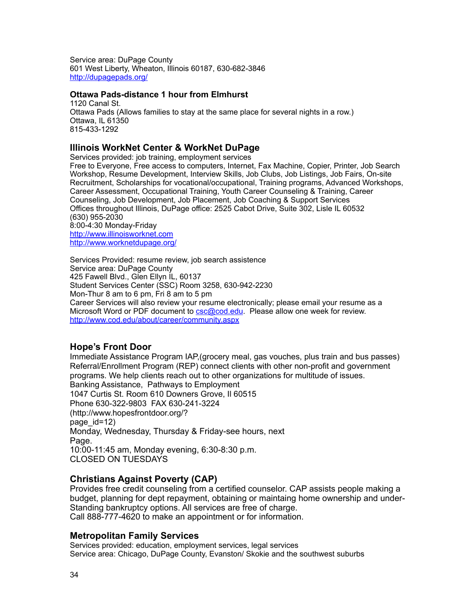Service area: DuPage County 601 West Liberty, Wheaton, Illinois 60187, 630-682-3846 <http://dupagepads.org/>

#### **Ottawa Pads-distance 1 hour from Elmhurst**

<span id="page-33-0"></span>1120 Canal St. Ottawa Pads (Allows families to stay at the same place for several nights in a row.) Ottawa, IL 61350 815-433-1292

### <span id="page-33-1"></span>**Illinois WorkNet Center & WorkNet DuPage**

Services provided: job training, employment services Free to Everyone, Free access to computers, Internet, Fax Machine, Copier, Printer, Job Search Workshop, Resume Development, Interview Skills, Job Clubs, Job Listings, Job Fairs, On-site Recruitment, Scholarships for vocational/occupational, Training programs, Advanced Workshops, Career Assessment, Occupational Training, Youth Career Counseling & Training, Career Counseling, Job Development, Job Placement, Job Coaching & Support Services Offices throughout Illinois, DuPage office: 2525 Cabot Drive, Suite 302, Lisle IL 60532 (630) 955-2030 8:00-4:30 Monday-Friday <http://www.illinoisworknet.com> <http://www.worknetdupage.org/>

Services Provided: resume review, job search assistence Service area: DuPage County 425 Fawell Blvd., Glen Ellyn IL, 60137 Student Services Center (SSC) Room 3258, 630-942-2230 Mon-Thur 8 am to 6 pm, Fri 8 am to 5 pm Career Services will also review your resume electronically; please email your resume as a Microsoft Word or PDF document to [csc@cod.edu.](mailto:csc@cod.edu) Please allow one week for review. <http://www.cod.edu/about/career/community.aspx>

### **Hope's Front Door**

Immediate Assistance Program IAP,(grocery meal, gas vouches, plus train and bus passes) Referral/Enrollment Program (REP) connect clients with other non-profit and government programs. We help clients reach out to other organizations for multitude of issues. Banking Assistance, Pathways to Employment 1047 Curtis St. Room 610 Downers Grove, Il 60515 Phone 630-322-9803 FAX 630-241-3224 (http://www.hopesfrontdoor.org/? page id=12) Monday, Wednesday, Thursday & Friday-see hours, next Page. 10:00-11:45 am, Monday evening, 6:30-8:30 p.m. CLOSED ON TUESDAYS

### **Christians Against Poverty (CAP)**

Provides free credit counseling from a certified counselor. CAP assists people making a budget, planning for dept repayment, obtaining or maintaing home ownership and under-Standing bankruptcy options. All services are free of charge. Call 888-777-4620 to make an appointment or for information.

### <span id="page-33-2"></span>**Metropolitan Family Services**

Services provided: education, employment services, legal services Service area: Chicago, DuPage County, Evanston/ Skokie and the southwest suburbs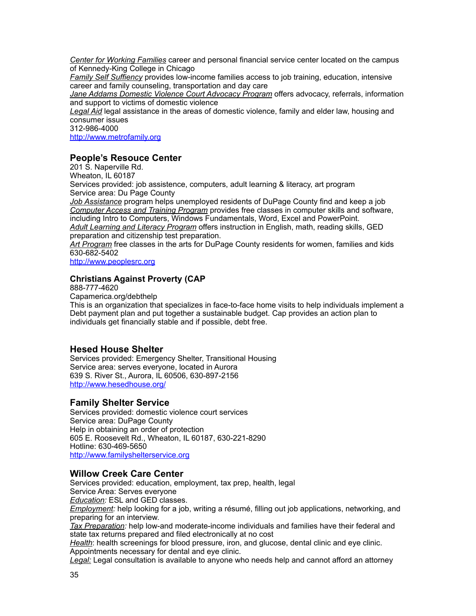*Center for Working Families* career and personal financial service center located on the campus of Kennedy-King College in Chicago

*Family Self Suffiency* provides low-income families access to job training, education, intensive career and family counseling, transportation and day care

*Jane Addams Domestic Violence Court Advocacy Program* offers advocacy, referrals, information and support to victims of domestic violence

*Legal Aid* legal assistance in the areas of domestic violence, family and elder law, housing and consumer issues

312-986-4000

<http://www.metrofamily.org>

### <span id="page-34-0"></span>**People's Resouce Center**

201 S. Naperville Rd. Wheaton, IL 60187 Services provided: job assistence, computers, adult learning & literacy, art program Service area: Du Page County *Job Assistance* program helps unemployed residents of DuPage County find and keep a job *Computer Access and Training Program* provides free classes in computer skills and software, including Intro to Computers, Windows Fundamentals, Word, Excel and PowerPoint. *Adult Learning and Literacy Program* offers instruction in English, math, reading skills, GED preparation and citizenship test preparation. *Art Program* free classes in the arts for DuPage County residents for women, families and kids 630-682-5402

<http://www.peoplesrc.org>

### **Christians Against Proverty (CAP**

888-777-4620

Capamerica.org/debthelp

This is an organization that specializes in face-to-face home visits to help individuals implement a Debt payment plan and put together a sustainable budget. Cap provides an action plan to individuals get financially stable and if possible, debt free.

### <span id="page-34-1"></span>**Hesed House Shelter**

Services provided: Emergency Shelter, Transitional Housing Service area: serves everyone, located in Aurora 639 S. River St., Aurora, IL 60506, 630-897-2156 <http://www.hesedhouse.org/>

### <span id="page-34-2"></span>**Family Shelter Service**

Services provided: domestic violence court services Service area: DuPage County Help in obtaining an order of protection 605 E. Roosevelt Rd., Wheaton, IL 60187, 630-221-8290 Hotline: 630-469-5650 <http://www.familyshelterservice.org>

#### <span id="page-34-3"></span>**Willow Creek Care Center**

Services provided: education, employment, tax prep, health, legal Service Area: Serves everyone *Education:* ESL and GED classes. *Employment:* help looking for a job, writing a résumé, filling out job applications, networking, and preparing for an interview. *Tax Preparation:* help low-and moderate-income individuals and families have their federal and

state tax returns prepared and filed electronically at no cost

*Health*: health screenings for blood pressure, iron, and glucose, dental clinic and eye clinic. Appointments necessary for dental and eye clinic.

*Legal:* Legal consultation is available to anyone who needs help and cannot afford an attorney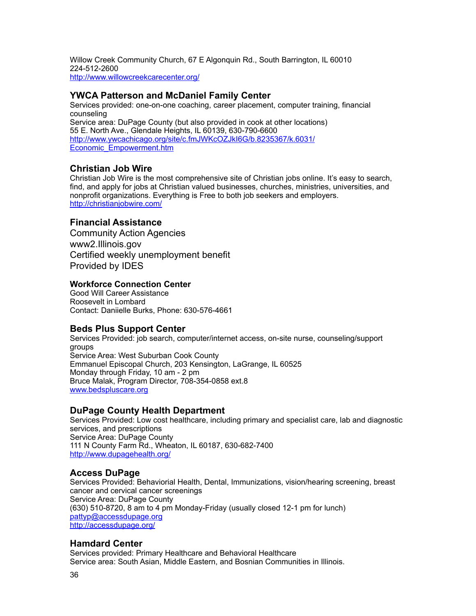Willow Creek Community Church, 67 E Algonquin Rd., South Barrington, IL 60010 224-512-2600 <http://www.willowcreekcarecenter.org/>

### <span id="page-35-0"></span>**YWCA Patterson and McDaniel Family Center**

Services provided: one-on-one coaching, career placement, computer training, financial counseling Service area: DuPage County (but also provided in cook at other locations) 55 E. North Ave., Glendale Heights, IL 60139, 630-790-6600 [http://www.ywcachicago.org/site/c.fmJWKcOZJkI6G/b.8235367/k.6031/](http://www.ywcachicago.org/site/c.fmJWKcOZJkI6G/b.8235367/k.6031/Economic_Empowerment.htm) [Economic\\_Empowerment.htm](http://www.ywcachicago.org/site/c.fmJWKcOZJkI6G/b.8235367/k.6031/Economic_Empowerment.htm)

### <span id="page-35-1"></span>**Christian Job Wire**

Christian Job Wire is the most comprehensive site of Christian jobs online. It's easy to search, find, and apply for jobs at Christian valued businesses, churches, ministries, universities, and nonprofit organizations. Everything is Free to both job seekers and employers. <http://christianjobwire.com/>

### **Financial Assistance**

Community Action Agencies www2.Illinois.gov Certified weekly unemployment benefit Provided by IDES

#### **Workforce Connection Center**

Good Will Career Assistance Roosevelt in Lombard Contact: Daniielle Burks, Phone: 630-576-4661

### <span id="page-35-2"></span>**Beds Plus Support Center**

Services Provided: job search, computer/internet access, on-site nurse, counseling/support groups Service Area: West Suburban Cook County Emmanuel Episcopal Church, 203 Kensington, LaGrange, IL 60525 Monday through Friday, 10 am - 2 pm Bruce Malak, Program Director, 708-354-0858 ext.8 [www.bedspluscare.org](http://www.bedspluscare.org)

#### <span id="page-35-3"></span>**DuPage County Health Department**

Services Provided: Low cost healthcare, including primary and specialist care, lab and diagnostic services, and prescriptions Service Area: DuPage County 111 N County Farm Rd., Wheaton, IL 60187, 630-682-7400 <http://www.dupagehealth.org/>

#### <span id="page-35-4"></span>**Access DuPage**

Services Provided: Behaviorial Health, Dental, Immunizations, vision/hearing screening, breast cancer and cervical cancer screenings Service Area: DuPage County (630) 510-8720, 8 am to 4 pm Monday-Friday (usually closed 12-1 pm for lunch) [pattyp@accessdupage.org](mailto:pattyp@accessdupage.org) <http://accessdupage.org/>

#### <span id="page-35-5"></span>**Hamdard Center**

Services provided: Primary Healthcare and Behavioral Healthcare Service area: South Asian, Middle Eastern, and Bosnian Communities in Illinois.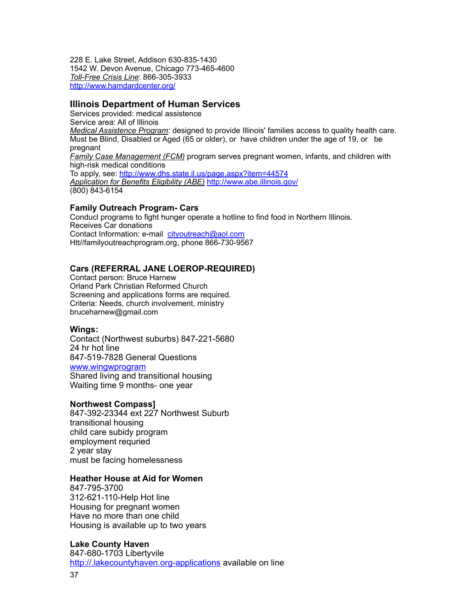228 E. Lake Street, Addison 630-835-1430 1542 W. Devon Avenue, Chicago 773-465-4600 *Toll-Free Crisis Line*: 866-305-3933 <http://www.hamdardcenter.org/>

### <span id="page-36-0"></span>**Illinois Department of Human Services**

Services provided: medical assistence Service area: All of Illinois *Medical Assistence Program*: designed to provide Illinois' families access to quality health care. Must be Blind, Disabled or Aged (65 or older), or have children under the age of 19, or be pregnant *Family Case Management (FCM)* program serves pregnant women, infants, and children with high-risk medical conditions To apply, see: <http://www.dhs.state.il.us/page.aspx?item=44574> *Application for Benefits Eligibility (ABE)* <http://www.abe.illinois.gov/> (800) 843-6154

#### **Family Outreach Program- Cars**

Conducl programs to fight hunger operate a hotline to find food in Northern Illinois. Receives Car donations Contact Information: e-mail [cityoutreach@aol.com](mailto:cityoutreach@aol.com) Htt//familyoutreachprogram.org, phone 866-730-9567

### **Cars (REFERRAL JANE LOEROP-REQUIRED)**

Contact person: Bruce Harnew Orland Park Christian Reformed Church Screening and applications forms are required. Criteria: Needs, church involvement, ministry bruceharnew@gmail.com

#### **Wings:**

Contact (Northwest suburbs) 847-221-5680 24 hr hot line 847-519-7828 General Questions [www.wingwprogram](http://www.wingwprogram) Shared living and transitional housing Waiting time 9 months- one year

#### **Northwest Compass]**

847-392-23344 ext 227 Northwest Suburb transitional housing child care subidy program employment requried 2 year stay must be facing homelessness

#### **Heather House at Aid for Women**

847-795-3700 312-621-110-Help Hot line Housing for pregnant women Have no more than one child Housing is available up to two years

#### **Lake County Haven**

847-680-1703 Libertyvile <http://.lakecountyhaven.org-applications>available on line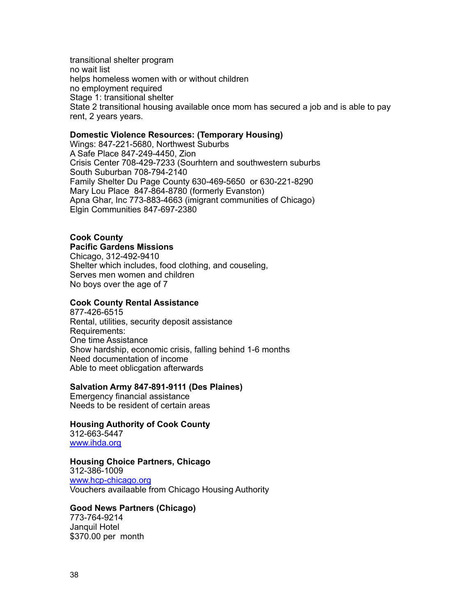transitional shelter program no wait list helps homeless women with or without children no employment required Stage 1: transitional shelter State 2 transitional housing available once mom has secured a job and is able to pay rent, 2 years years.

#### **Domestic Violence Resources: (Temporary Housing)**

Wings: 847-221-5680, Northwest Suburbs A Safe Place 847-249-4450, Zion Crisis Center 708-429-7233 (Sourhtern and southwestern suburbs South Suburban 708-794-2140 Family Shelter Du Page County 630-469-5650 or 630-221-8290 Mary Lou Place 847-864-8780 (formerly Evanston) Apna Ghar, Inc 773-883-4663 (imigrant communities of Chicago) Elgin Communities 847-697-2380

# **Cook County**

### **Pacific Gardens Missions**

Chicago, 312-492-9410 Shelter which includes, food clothing, and couseling, Serves men women and children No boys over the age of 7

### **Cook County Rental Assistance**

877-426-6515 Rental, utilities, security deposit assistance Requirements: One time Assistance Show hardship, economic crisis, falling behind 1-6 months Need documentation of income Able to meet oblicgation afterwards

#### **Salvation Army 847-891-9111 (Des Plaines)**

Emergency financial assistance Needs to be resident of certain areas

#### **Housing Authority of Cook County**

312-663-5447 [www.ihda.org](http://www.ihda.org)

#### **Housing Choice Partners, Chicago**

312-386-1009 [www.hcp-chicago.org](http://www.hcp-chicago.org) Vouchers availaable from Chicago Housing Authority

#### **Good News Partners (Chicago)**

773-764-9214 Janquil Hotel \$370.00 per month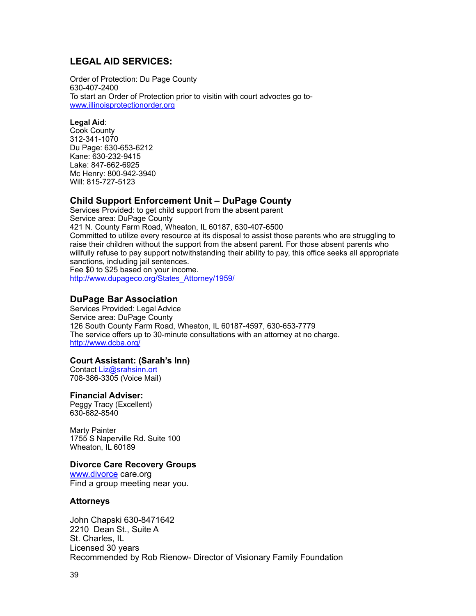### <span id="page-38-0"></span>**LEGAL AID SERVICES:**

Order of Protection: Du Page County 630-407-2400 To start an Order of Protection prior to visitin with court advoctes go to[www.illinoisprotectionorder.org](http://www.illinoisprotectionorder.org)

#### **Legal Aid**:

Cook County 312-341-1070 Du Page: 630-653-6212 Kane: 630-232-9415 Lake: 847-662-6925 Mc Henry: 800-942-3940 Will: 815-727-5123

### <span id="page-38-1"></span>**Child Support Enforcement Unit – DuPage County**

Services Provided: to get child support from the absent parent Service area: DuPage County 421 N. County Farm Road, Wheaton, IL 60187, 630-407-6500 Committed to utilize every resource at its disposal to assist those parents who are struggling to raise their children without the support from the absent parent. For those absent parents who willfully refuse to pay support notwithstanding their ability to pay, this office seeks all appropriate sanctions, including jail sentences. Fee \$0 to \$25 based on your income. [http://www.dupageco.org/States\\_Attorney/1959/](http://www.dupageco.org/States_Attorney/1959/)

### <span id="page-38-2"></span>**DuPage Bar Association**

Services Provided: Legal Advice Service area: DuPage County 126 South County Farm Road, Wheaton, IL 60187-4597, 630-653-7779 The service offers up to 30-minute consultations with an attorney at no charge. <http://www.dcba.org/>

#### **Court Assistant: (Sarah's Inn)**

Contact [Liz@srahsinn.ort](mailto:Liz@srahsinn.ort) 708-386-3305 (Voice Mail)

#### **Financial Adviser:**

Peggy Tracy (Excellent) 630-682-8540

Marty Painter 1755 S Naperville Rd. Suite 100 Wheaton, IL 60189

#### **Divorce Care Recovery Groups**

[www.divorce](http://www.divorce) care.org Find a group meeting near you.

#### **Attorneys**

John Chapski 630-8471642 2210 Dean St., Suite A St. Charles, IL Licensed 30 years Recommended by Rob Rienow- Director of Visionary Family Foundation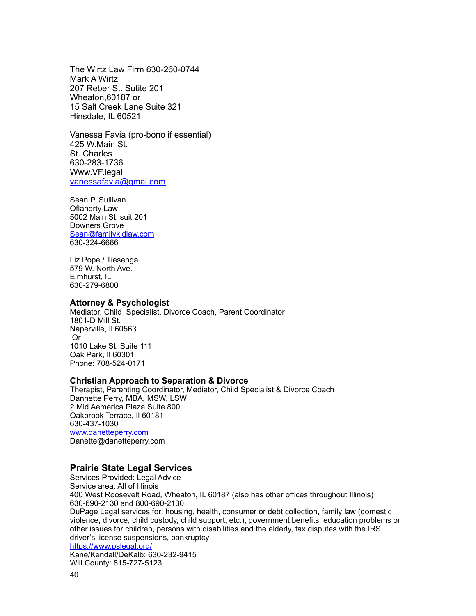The Wirtz Law Firm 630-260-0744 Mark A Wirtz 207 Reber St. Sutite 201 Wheaton,60187 or 15 Salt Creek Lane Suite 321 Hinsdale, IL 60521

Vanessa Favia (pro-bono if essential) 425 W.Main St. St. Charles 630-283-1736 Www.VF.legal [vanessafavia@gmai.com](mailto:vanessafavia@gmai.com)

Sean P. Sullivan Oflaherty Law 5002 Main St. suit 201 Downers Grove [Sean@familykidlaw.com](mailto:Sean@familykidlaw.com) 630-324-6666

Liz Pope / Tiesenga 579 W. North Ave. Elmhurst, IL 630-279-6800

#### **Attorney & Psychologist**

Mediator, Child Specialist, Divorce Coach, Parent Coordinator 1801-D Mill St. Naperville, Il 60563 Or 1010 Lake St. Suite 111 Oak Park, Il 60301 Phone: 708-524-0171

#### **Christian Approach to Separation & Divorce**

Therapist, Parenting Coordinator, Mediator, Child Specialist & Divorce Coach Dannette Perry, MBA, MSW, LSW 2 Mid Aemerica Plaza Suite 800 Oakbrook Terrace, Il 60181 630-437-1030 [www.danetteperry.com](http://www.danetteperry.com) Danette@danetteperry.com

### <span id="page-39-0"></span>**Prairie State Legal Services**

Services Provided: Legal Advice Service area: All of Illinois 400 West Roosevelt Road, Wheaton, IL 60187 (also has other offices throughout Illinois) 630-690-2130 and 800-690-2130 DuPage Legal services for: housing, health, consumer or debt collection, family law (domestic violence, divorce, child custody, child support, etc.), government benefits, education problems or other issues for children, persons with disabilities and the elderly, tax disputes with the IRS, driver's license suspensions, bankruptcy <https://www.pslegal.org/> Kane/Kendall/DeKalb: 630-232-9415 Will County: 815-727-5123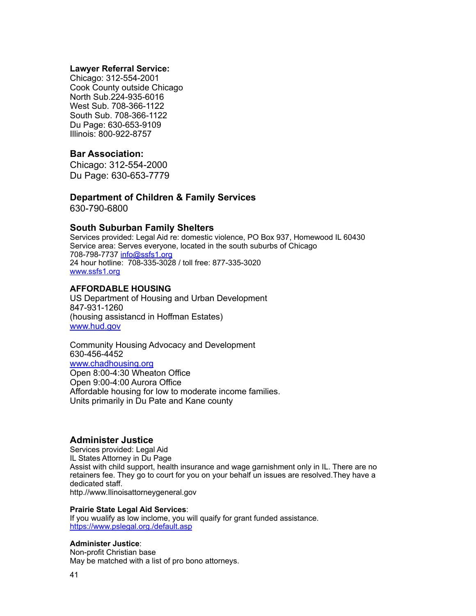#### **Lawyer Referral Service:**

Chicago: 312-554-2001 Cook County outside Chicago North Sub.224-935-6016 West Sub. 708-366-1122 South Sub. 708-366-1122 Du Page: 630-653-9109 Illinois: 800-922-8757

### **Bar Association:**

Chicago: 312-554-2000 Du Page: 630-653-7779

# **Department of Children & Family Services**

630-790-6800

### <span id="page-40-0"></span>**South Suburban Family Shelters**

Services provided: Legal Aid re: domestic violence, PO Box 937, Homewood IL 60430 Service area: Serves everyone, located in the south suburbs of Chicago 708-798-7737 [info@ssfs1.org](mailto:info@ssfs1.org) 24 hour hotline: 708-335-3028 / toll free: 877-335-3020 [www.ssfs1.org](http://www.ssfs1.org)

### **AFFORDABLE HOUSING**

US Department of Housing and Urban Development 847-931-1260 (housing assistancd in Hoffman Estates) [www.hud.gov](http://www.hud.gov)

Community Housing Advocacy and Development 630-456-4452 [www.chadhousing.org](http://www.chadhousing.org) Open 8:00-4:30 Wheaton Office Open 9:00-4:00 Aurora Office Affordable housing for low to moderate income families. Units primarily in Du Pate and Kane county

### <span id="page-40-1"></span>**Administer Justice**

Services provided: Legal Aid IL States Attorney in Du Page Assist with child support, health insurance and wage garnishment only in IL. There are no retainers fee. They go to court for you on your behalf un issues are resolved.They have a dedicated staff. http.//www.Ilinoisattorneygeneral.gov

#### **Prairie State Legal Aid Services**:

If you wualify as low inclome, you will quaify for grant funded assistance. <https://www.pslegal.org./default.asp>

#### **Administer Justice**:

Non-profit Christian base May be matched with a list of pro bono attorneys.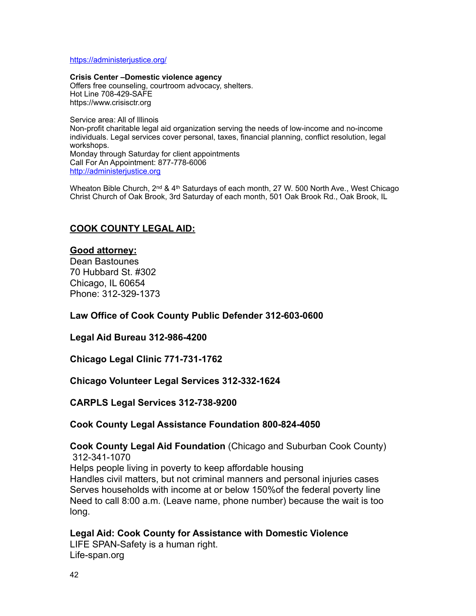<https://administerjustice.org/>

**Crisis Center –Domestic violence agency** Offers free counseling, courtroom advocacy, shelters. Hot Line 708-429-SAFE https://www.crisisctr.org

Service area: All of Illinois Non-profit charitable legal aid organization serving the needs of low-income and no-income individuals. Legal services cover personal, taxes, financial planning, conflict resolution, legal workshops. Monday through Saturday for client appointments Call For An Appointment: 877-778-6006 <http://administerjustice.org>

Wheaton Bible Church, 2<sup>nd</sup> & 4<sup>th</sup> Saturdays of each month, 27 W. 500 North Ave., West Chicago Christ Church of Oak Brook, 3rd Saturday of each month, 501 Oak Brook Rd., Oak Brook, IL

### **COOK COUNTY LEGAL AID:**

### **Good attorney:**

Dean Bastounes 70 Hubbard St. #302 Chicago, IL 60654 Phone: 312-329-1373

**Law Office of Cook County Public Defender 312-603-0600**

**Legal Aid Bureau 312-986-4200**

**Chicago Legal Clinic 771-731-1762**

**Chicago Volunteer Legal Services 312-332-1624**

**CARPLS Legal Services 312-738-9200**

### **Cook County Legal Assistance Foundation 800-824-4050**

**Cook County Legal Aid Foundation** (Chicago and Suburban Cook County) 312-341-1070 Helps people living in poverty to keep affordable housing Handles civil matters, but not criminal manners and personal injuries cases Serves households with income at or below 150%of the federal poverty line Need to call 8:00 a.m. (Leave name, phone number) because the wait is too long.

**Legal Aid: Cook County for Assistance with Domestic Violence** LIFE SPAN-Safety is a human right. Life-span.org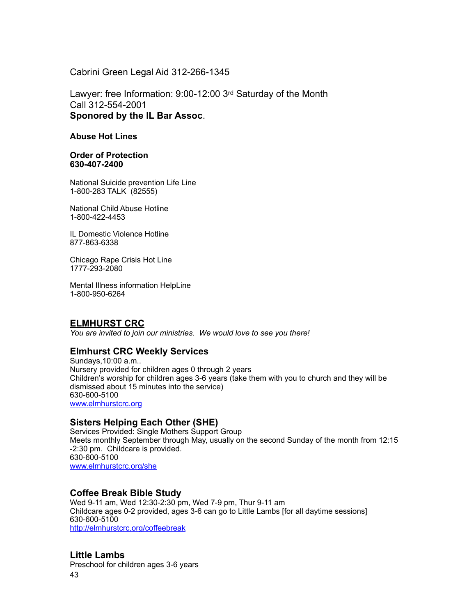Cabrini Green Legal Aid 312-266-1345

Lawyer: free Information: 9:00-12:00 3rd Saturday of the Month Call 312-554-2001 **Sponored by the IL Bar Assoc**.

#### **Abuse Hot Lines**

**Order of Protection 630-407-2400**

National Suicide prevention Life Line 1-800-283 TALK (82555)

National Child Abuse Hotline 1-800-422-4453

IL Domestic Violence Hotline 877-863-6338

Chicago Rape Crisis Hot Line 1777-293-2080

Mental Illness information HelpLine 1-800-950-6264

### <span id="page-42-0"></span>**ELMHURST CRC**

*You are invited to join our ministries. We would love to see you there!*

### <span id="page-42-1"></span>**Elmhurst CRC Weekly Services**

Sundays,10:00 a.m.. Nursery provided for children ages 0 through 2 years Children's worship for children ages 3-6 years (take them with you to church and they will be dismissed about 15 minutes into the service) 630-600-5100 [www.elmhurstcrc.org](http://www.elmhurstcrc.org)

### <span id="page-42-2"></span>**Sisters Helping Each Other (SHE)**

Services Provided: Single Mothers Support Group Meets monthly September through May, usually on the second Sunday of the month from 12:15 -2:30 pm. Childcare is provided. 630-600-5100 [www.elmhurstcrc.org/she](http://www.elmhurstcrc.org/she)

### <span id="page-42-3"></span>**Coffee Break Bible Study**

Wed 9-11 am, Wed 12:30-2:30 pm, Wed 7-9 pm, Thur 9-11 am Childcare ages 0-2 provided, ages 3-6 can go to Little Lambs [for all daytime sessions] 630-600-5100 <http://elmhurstcrc.org/coffeebreak>

### <span id="page-42-4"></span>**Little Lambs**

Preschool for children ages 3-6 years 43